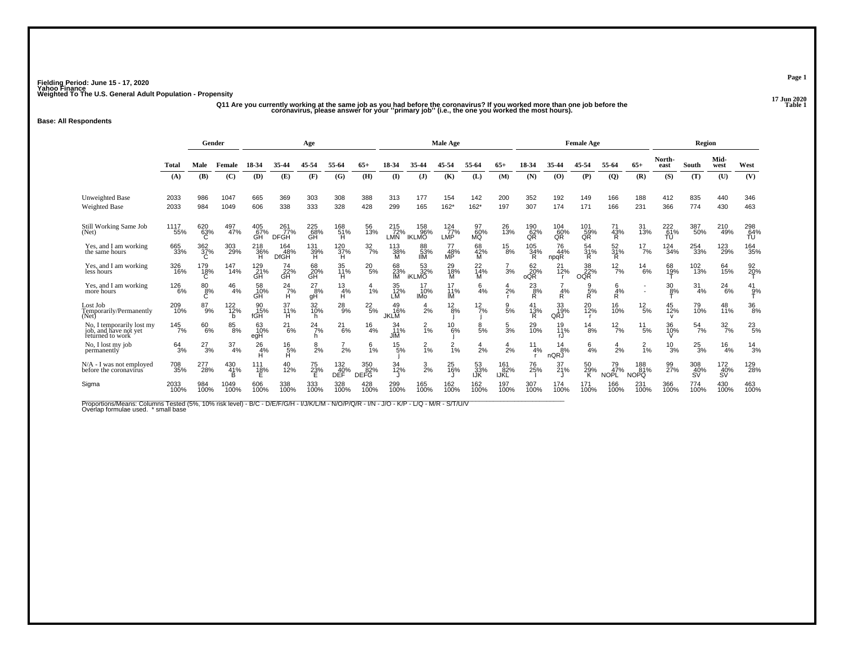# 17 Jun 2020<br>Q11 Are you currently working at the same job as you had before the coronavirus? If you worked more than one job before the<br>Coronavirus, please answer for your "primary job" (i.e., the one you worked the most h

### **Base: All Respondents**

|                                                                        |                     | Gender                  |                 |                                     | Age                         |                       |                      |                           |                          |                            | Male Age                           |                             |                    |                    |                   | <b>Female Age</b>    |                          |                           |                           | Region           |                  |                               |
|------------------------------------------------------------------------|---------------------|-------------------------|-----------------|-------------------------------------|-----------------------------|-----------------------|----------------------|---------------------------|--------------------------|----------------------------|------------------------------------|-----------------------------|--------------------|--------------------|-------------------|----------------------|--------------------------|---------------------------|---------------------------|------------------|------------------|-------------------------------|
|                                                                        | <b>Total</b>        | Male                    | Female          | 18-34                               | 35-44                       | 45-54                 | 55-64                | $65+$                     | 18-34                    | 35-44                      | 45-54                              | 55-64                       | $65+$              | 18-34              | 35-44             | 45-54                | 55-64                    | $65+$                     | North-<br>east            | South            | Mid-<br>west     | West                          |
|                                                                        | (A)                 | (B)                     | (C)             | (D)                                 | (E)                         | (F)                   | (G)                  | (H)                       | (I)                      | $\mathbf{J}$               | (K)                                | (L)                         | (M)                | (N)                | (0)               | (P)                  | $\overline{Q}$           | (R)                       | (S)                       | (T)              | (U)              | (V)                           |
| <b>Unweighted Base</b><br><b>Weighted Base</b>                         | 2033<br>2033        | 986<br>984              | 1047<br>1049    | 665<br>606                          | 369<br>338                  | 303<br>333            | 308<br>328           | 388<br>428                | 313<br>299               | 177<br>165                 | 154<br>$162*$                      | 142<br>$162*$               | 200<br>197         | 352<br>307         | 192<br>174        | 149<br>171           | 166<br>166               | 188<br>231                | 412<br>366                | 835<br>774       | 440<br>430       | 346<br>463                    |
| Still Working Same Job<br>(Net)                                        | 1117<br>55%         | 620<br>63%<br>C.        | 497<br>47%      | 405<br>67%<br>GH                    | 261<br>77%<br><b>DFGH</b>   | 225<br>68%<br>ĞĤ      | 168<br>51%<br>н      | 56<br>13%                 | 215<br>72%<br>LMN        | 158<br>96%<br><b>IKLMO</b> | 124<br>77%<br>LMP                  | 97<br>60%<br>MQ             | 26<br>13%          | 190<br>62%<br>QR   | 104<br>60%<br>QR  | 101<br>59%<br>QR     | 71<br>43%<br>R           | 31<br>13%                 | 222<br>61%<br>TU          | 387<br>50%       | 210<br>49%       | 298<br>64%<br>ŤÚ              |
| Yes, and I am working<br>the same hours                                | 665<br>33%          | $\frac{362}{37}\%$<br>C | 303<br>29%      | 218<br>36%<br>н                     | 164<br>48%<br><b>DfGH</b>   | 131<br>39%<br>н       | 120<br>37%<br>н      | $\frac{32}{7}$ %          | 113<br>38%<br>м          | 88<br>53%<br><b>IIM</b>    | 77<br>48%<br>MP                    | 68<br>42%<br>м              | $^{15}_{8\%}$      | 105<br>34%<br>R    | 76<br>44%<br>npqR | 54<br>31%<br>R       | 52<br>31%<br>R           | $^{17}_{7\%}$             | $^{124}_{34\%}$           | 254<br>33%       | 123<br>29%       | <sup>164</sup> <sub>35%</sub> |
| Yes, and I am working<br>less hours                                    | 326<br>16%          | 179<br>18%<br>C         | 147<br>14%      | 129<br>$\tilde{c}_{\rm{BH}}^{21\%}$ | 74<br>22%<br>GH             | 68<br>20%<br>GH       | 35<br>11%<br>H       | $^{20}_{5\%}$             | 68<br>$\frac{23}{1}$     | 53<br>32%<br><b>iKLMO</b>  | 18%<br>M                           | 22<br>$\frac{1}{14}$ %<br>M | 3%                 | 62<br>20%<br>oQR   | 21<br>12%         | 38<br>OQR            | $\frac{12}{7%}$          | 14<br>6%                  | 68<br>19%                 | 102<br>13%       | 64<br>15%        | $\frac{92}{20}$ %             |
| Yes, and I am working<br>more hours                                    | 126<br>6%           | 80<br>8%<br>Ċ           | 46<br>4%        | 58<br>10%<br>GH                     | $^{24}_{7\%}$<br>H          | $^{27}_{8\%}$<br>gH   | 13<br>4%<br>H        | 1%                        | 35<br>12%<br>LM          | 10%<br><b>IMo</b>          | 11%<br>IM                          | 6<br>4%                     | 2%                 | $^{23}_{8\%}$<br>Ŕ | 4%<br>R           | $\frac{9}{5%}$<br>Ŕ. | 6<br>4%<br>R.            | $\overline{\phantom{a}}$  | $\frac{30}{8%}$           | $\frac{31}{4\%}$ | $^{24}_{6\%}$    | 41<br>$\frac{9}{7}$           |
| Lost Job<br>Temporarily/Permanently<br>(Net)                           | 209<br>10%          | 87<br>9%                | 122<br>12%<br>h | 90<br>15%<br>fGH                    | 37<br>11%<br>н              | 32<br>10%<br>h        | $^{28}_{9%}$         | $^{22}_{\ 5\%}$           | 49<br>16%<br><b>JKLM</b> | $\frac{4}{2%}$             | $^{12}_{8\%}$                      | $^{12}_{7\%}$               | 5%                 | 41<br>13%<br>R     | 33<br>19%<br>QRJ  | 20<br>12%            | 16<br>10%                | $^{12}_{\ 5\%}$           | 45<br>12%<br>$\mathsf{v}$ | 79<br>10%        | 48<br>11%        | 36<br>8%                      |
| No, I temporarily lost my<br>job, and have not yet<br>returned to work | $145$ <sub>7%</sub> | 60%                     | 85<br>8%        | 63<br>10%<br>egH                    | $^{21}_{6\%}$               | $^{24}$ <sub>7%</sub> | $^{21}_{6\%}$        | $^{16}_{4\%}$             | 34<br>11%<br><b>JIM</b>  | $\frac{2}{1}$ %            | $^{10}_{6\%}$                      | 8<br>5%                     | $\frac{5}{3}$ %    | 29<br>10%          | 19<br>11%<br>rJ   | $^{14}_{8\%}$        | $\frac{12}{7\%}$         | $^{11}_{\ 5\%}$           | 36<br>10%                 | $^{54}_{7\%}$    | $\frac{32}{7}\%$ | $^{23}_{5\%}$                 |
| No. I lost my job<br>permanently                                       | $64 \atop 3\%$      | $^{27}_{3\%}$           | 37<br>4%        | 26<br>4%<br>H                       | $^{16}_{\substack{5\%\\H}}$ | 8<br>2%               | $\overline{7}$<br>2% | 6<br>1%                   | $^{15}_{5\%}$            | $^{2}_{1\%}$               | $\overline{2}$<br>$\overline{1}\%$ | $\overline{4}$<br>2%        | $\frac{4}{2%}$     | 11<br>4%           | 14<br>8%<br>nQRJ  | 6<br>4%              | $\overline{4}$<br>2%     | $\frac{2}{1%}$            | $\frac{10}{3%}$           | $^{25}_{3\%}$    | 16<br>4%         | $^{14}_{3\%}$                 |
| N/A - I was not employed<br>before the coronavirus                     | 708<br>35%          | 277<br>28%              | 430<br>41%      | 111<br>18%                          | 40<br>12%                   | 75<br>23%             | 132<br>40%<br>DEF    | 350<br>82%<br><b>DEFG</b> | 34<br>12%                | $\frac{3}{2\%}$            | 25<br>16%                          | 53<br>33%<br>IJĶ            | 161<br>82%<br>IJKL | 76<br>25%          | 37<br>21%         | 50<br>29%<br>κ       | 79<br>47%<br><b>NOPL</b> | 188<br>81%<br><b>NOPO</b> | 99<br>27%                 | 308<br>40%<br>SV | 172<br>40%<br>SV | 129<br>28%                    |
| Sigma                                                                  | 2033<br>100%        | 984<br>100%             | 1049<br>100%    | 606<br>100%                         | 338<br>100%                 | 333<br>100%           | 328<br>100%          | 428<br>100%               | 299<br>100%              | 165<br>100%                | 162<br>100%                        | 162<br>100%                 | 197<br>100%        | 307<br>100%        | 174<br>100%       | 171<br>100%          | 166<br>100%              | 231<br>100%               | 366<br>100%               | 774<br>100%      | 430<br>100%      | 463<br>100%                   |

Proportions/Means: Columns Tested (5%, 10% risk level) - B/C - D/E/F/G/H - I/J/K/L/M - N/O/P/Q/R - I/N - J/O - K/P - L/Q - M/R - S/T/U/V<br>Overlap formulae used. \*small base

**Page 1**

17 Jun 2020<br>Table 1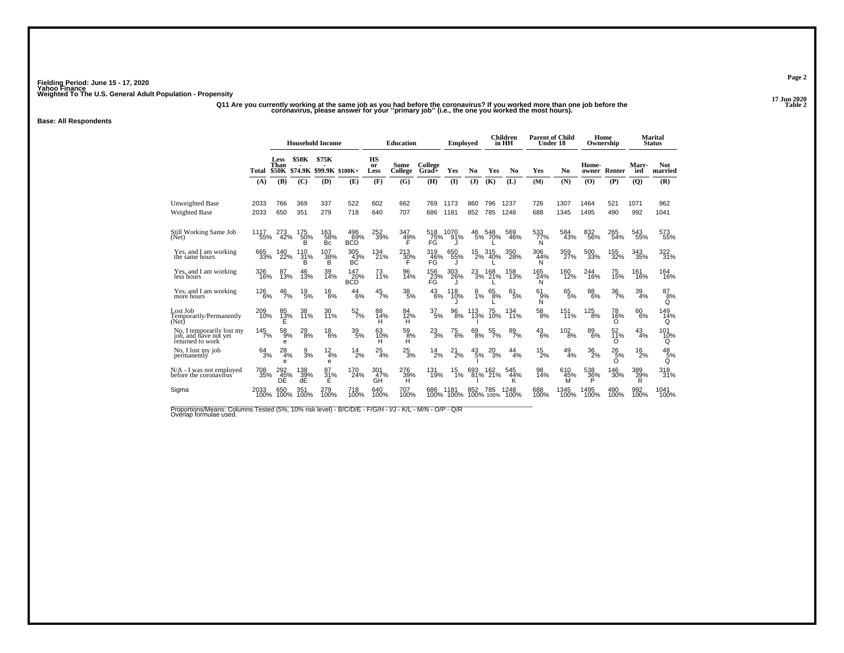17 Jun 2020<br>2 Table 2 (i.e. the coronavirus? If you worked more than one job before the the coronavirus, please answer for<br>2 Coronavirus, please answer for your "primary job" (i.e., the one you worked the most hours).

### **Base: All Respondents**

|                                                                        |                | <b>Household Income</b>      |                        |                                  |                          | <b>Education</b> |                        | <b>Employed</b>    |                 |               | <b>Children</b><br>in HH | <b>Parent of Child</b><br>Under 18 |                     |                 | Home<br>Ownership         |                           | <b>Marital</b><br><b>Status</b> |                              |
|------------------------------------------------------------------------|----------------|------------------------------|------------------------|----------------------------------|--------------------------|------------------|------------------------|--------------------|-----------------|---------------|--------------------------|------------------------------------|---------------------|-----------------|---------------------------|---------------------------|---------------------------------|------------------------------|
|                                                                        | Total          | Less<br>Than<br><b>\$50K</b> | <b>\$50K</b>           | \$75K<br>\$74.9K \$99.9K \$100K+ |                          | HS<br>or<br>Less | Some<br>College        | College<br>$Grad+$ | Yes             | No            | Yes                      | N <sub>0</sub>                     | Yes                 | N <sub>0</sub>  | Home-<br>owner            | Renter                    | Marr-<br>ied                    | <b>Not</b><br>married        |
|                                                                        | (A)            | (B)                          | (C)                    | (D)                              | (E)                      | (F)              | (G)                    | (H)                | (1)             | (J)           | (K)                      | (L)                                | (M)                 | (N)             | (O)                       | (P)                       | $\overline{Q}$                  | (R)                          |
| Unweighted Base<br><b>Weighted Base</b>                                | 2033<br>2033   | 766<br>650                   | 369<br>351             | 337<br>279                       | 522<br>718               | 602<br>640       | 662<br>707             | 769<br>686         | 1173<br>1181    | 860<br>852    | 796<br>785               | 1237<br>1248                       | 726<br>688          | 1307<br>1345    | 1464<br>1495              | 521<br>490                | 1071<br>992                     | 962<br>1041                  |
| Still Working Same Job<br>(Net)                                        | 1117<br>55%    | 273<br>42%                   | 175<br>50%             | 163<br>58%<br>Bc                 | 496<br>$69\%$ BCD        | 252<br>39%       | 347<br>49%             | 518<br>75%<br>FG   | 1070<br>91%     | 46            | 548<br>5% 70%            | 569<br>46%                         | 533<br>77%<br>N     | 584<br>43%      | 832<br>56%                | 265<br>54%                | 543<br>55%                      | 573<br>55%                   |
| Yes, and I am working<br>the same hours                                | 665<br>33%     | 140<br>22%                   | 110<br>31%<br>в        | 107<br>38%<br>в                  | 305<br>43%<br>BČ         | 134<br>21%       | 213<br>30%             | 319<br>46%<br>FĞ   | 650<br>55%      | 15            | 315<br>2% 40%            | 350<br>28%                         | 306<br>44%<br>N     | 359<br>27%      | 500<br>33%                | 155<br>32%                | 343<br>35%                      | 322<br>31%                   |
| Yes, and I am working<br>less hours                                    | 326<br>16%     | 8<br>13%                     | 46<br>13%              | 39<br>14%                        | 147<br>20%<br><b>BCD</b> | 73<br>11%        | 96<br>14%              | 156<br>23%<br>FG   | 303<br>26%      | $^{23}_{3\%}$ | 168<br>21%               | 158<br>13%                         | 165<br>24%<br>N     | 160<br>12%      | 244<br>16%                | 75<br>15%                 | 161<br>16%                      | 164<br>16%                   |
| Yes, and I am working<br>more hours                                    | 126<br>6%      | 46<br>7%                     | $^{19}_{\ 5\%}$        | 16<br>6%                         | 44<br>6%                 | 45<br>7%         | $\substack{38 \\ 5\%}$ | 43<br>6%           | 118<br>10%      | 8<br>1%       | 65<br>8%                 | 61<br>5%                           | 61<br>$\frac{9}{8}$ | 65<br>5%        | $\underset{6\%}{^{88}}$   | 36<br>7%                  | 39<br>4%                        | 87<br>8%<br>Q                |
| Lost Job<br>Temporarily/Permanently<br>(Net)                           | 209<br>10%     | 85<br>13%<br>E               | 38<br>11%              | 30<br>11%                        | $\frac{52}{7\%}$         | 88<br>14%<br>н   | 84<br>12%<br>н         | 37<br>5%           | 96<br>8%        | 113<br>13%    | 75<br>10%                | 134<br>11%                         | $^{58}_{\ 8\%}$     | 151<br>11%      | $^{125}_{\phantom{1}8\%}$ | 78<br>16%<br>O            | 60<br>6%                        | 149<br>14%<br>Q              |
| No, I temporarily lost my<br>job, and have not yet<br>returned to work | 145<br>7%      | $^{58}_{9\%}$<br>e           | $^{29}_{\ 8\%}$        | 18<br>6%                         | $^{39}_{\ 5\%}$          | 63<br>10%<br>н   | 59<br>8%<br>н          | $^{23}_{3\%}$      | $^{75}_{\ 6\%}$ | $^{69}_{8\%}$ | $\frac{55}{7\%}$         | $\frac{89}{7\%}$                   | $^{43}_{6\%}$       | 102<br>8%       | $\substack{89 \\ 6\%}$    | 52<br>11%<br>O            | 43<br>4%                        | 101<br>10%<br>Q              |
| No, I lost my job<br>permanently                                       | $64 \over 3\%$ | 28<br>4%<br>e                | $\frac{9}{3}$ %        | $^{12}_{4\%}$<br>e               | $^{14}_{2\%}$            | $^{25}_{4\%}$    | $^{25}_{3\%}$          | $^{14}_{2\%}$      | $^{21}_{2\%}$   | $43/5\%$      | 20<br>3%                 | 44<br>4%                           | $^{15}_{2\%}$       | $^{49}_{4\%}$   | $\frac{36}{2\%}$          | $^{26}_{5\%}$<br>$\Omega$ | 16<br>2%                        | $^{48}_{\frac{5}{6}\%}$<br>Q |
| N/A - I was not employed<br>before the coronavirus                     | 708<br>35%     | 292<br>45%<br>DE             | 138<br>$\frac{39}{45}$ | 87<br>$\frac{31}{5}$ %           | 170<br>24%               | 301<br>47%<br>GĤ | 276<br>39%<br>H        | 131<br>19%         | 15<br>1%        | 693           | 162<br>81% 21%           | 545<br>44%<br>ĸ                    | 98<br>14%           | 610<br>45%<br>M | 538<br>$\frac{36}{5}$ %   | 146<br>30%                | 389<br>39%<br>R                 | 318<br>31%                   |
| Sigma                                                                  | 2033<br>100%   | 650<br>100%                  | 351<br>100%            | 279<br>100%                      | 718<br>100%              | 640<br>100%      | 707<br>100%            | 686<br>100%        | 1181<br>100%    | 852           | 785<br>100% 100%         | 1248<br>100%                       | 688<br>100%         | 1345<br>100%    | 1495<br>100%              | 490<br>100%               | 992<br>100%                     | 1041<br>100%                 |

Proportions/Means: Columns Tested (5%, 10% risk level) - B/C/D/E - F/G/H - I/J - K/L - M/N - O/P - Q/R<br>Overlap formulae used.

**Page 2**

17 Jun 2020<br>Table 2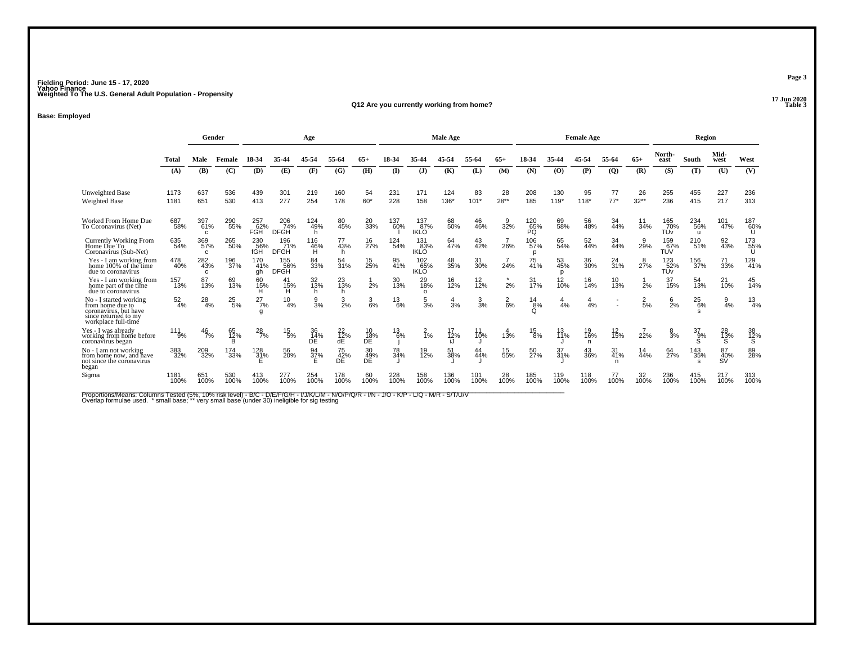**17 Jun 2020Q12 Are you currently working from home?**

### **Base: Employed**

|                                                                                                                    |               |                            | Gender<br>Age |                          |                           |                  |                 |                 | Male Age      |                           |                 |                 |             | <b>Female Age</b>  |                |                 |                  | Region          |                               |                 |                 |                 |
|--------------------------------------------------------------------------------------------------------------------|---------------|----------------------------|---------------|--------------------------|---------------------------|------------------|-----------------|-----------------|---------------|---------------------------|-----------------|-----------------|-------------|--------------------|----------------|-----------------|------------------|-----------------|-------------------------------|-----------------|-----------------|-----------------|
|                                                                                                                    | <b>Total</b>  | Male                       | Female        | 18-34                    | 35-4                      | 45-54            | 55-6            |                 | $18-34$       |                           |                 | 55-64           | 65+         | 18-34              | 35.44          | 45-54           | 55-64            | $65+$           | North-<br>east                | South           | Mid-<br>west    | West            |
|                                                                                                                    | (A)           | <b>(B)</b>                 | (C)           | (D)                      | (E)                       | (F)              | (G)             | (H)             | (I)           | $\mathbf{J}$              | (K)             | (L)             | (M)         | (N)                | (O)            | (P)             | $\overline{Q}$   | (R)             | (S)                           | (T)             | (U)             | (V)             |
| Unweighted Base                                                                                                    | 1173          | 637                        | 536           | 439                      | 301                       | 219              | 160             | 54              | 231           | 171                       | 124             | 83              | 28          | 208                | 130            | 95              | 77               | 26              | 255                           | 455             | 227             | 236             |
| Weighted Base                                                                                                      | 1181          | 651                        | 530           | 413                      | 277                       | 254              | 178             | $60*$           | 228           | 158                       | $136*$          | $101*$          | $28**$      | 185                | $119*$         | $118*$          | $77*$            | $32**$          | 236                           | 415             | 217             | 313             |
| Worked From Home Due<br>To Coronavirus (Net)                                                                       | 687<br>58%    | 397<br>61%<br>c            | 290<br>55%    | 257<br>62%<br><b>FGH</b> | 206<br>74%<br><b>DFGH</b> | 124<br>49%<br>h. | 80<br>45%       | 20<br>33%       | 137<br>60%    | 137%<br><b>IKLO</b>       | 68<br>50%       | 46<br>46%       | 32%         | 120<br>65%<br>PQ   | 69<br>58%      | 56<br>48%       | 34<br>44%        | 34%             | 165<br>70%<br>TUv             | 234<br>56%<br>u | 101<br>47%      | 187<br>60%      |
| Currently Working From<br>Home Due To<br>Coronavirus (Sub-Net)                                                     | 635<br>54%    | 369<br>57%<br>$\mathbf{c}$ | 265<br>50%    | 230<br>56%<br>fGH        | 196<br>71%<br><b>DFGH</b> | 116<br>46%<br>H  | 77<br>43%       | 16<br>27%       | 124<br>54%    | 131<br>83%<br><b>IKLO</b> | 64<br>47%       | 43<br>42%       | 26%         | 106<br>57%<br>D    | 65<br>54%      | 52<br>44%       | 34<br>44%        | 9<br>29%        | 159<br>TUV<br>TUV             | 210<br>51%      | 92<br>43%       | 173<br>55%<br>U |
| Yes - I am working from<br>home 100% of the time<br>due to coronavirus                                             | 478<br>40%    | 282<br>43%<br>c            | 196<br>37%    | 170<br>41%<br>qh         | 155<br>56%<br><b>DFGH</b> | 84<br>33%        | 54<br>31%       | 15<br>25%       | 95<br>41%     | 102<br>65%<br><b>IKLO</b> | 48<br>35%       | 31<br>30%       | 24%         | 75<br>41%          | 53<br>45%<br>n | 36<br>30%       | $^{24}_{31\%}$   | 8<br>27%        | 123<br>52%<br>TU <sub>v</sub> | 156<br>37%      | 71<br>33%       | 129<br>41%      |
| Yes - I am working from<br>home part of the time<br>due to coronavirus                                             | 157<br>13%    | 87<br>13%                  | 69<br>13%     | 60<br>15%<br>н           | 41<br>15%<br>H.           | 32<br>13%<br>h.  | 23<br>13%<br>h  | $\frac{1}{2\%}$ | 30<br>13%     | 29<br>18%<br>$\Omega$     | 16<br>12%       | $^{12}_{12\%}$  | 2%          | 31<br>17%          | 12<br>10%      | 16<br>14%       | 10<br>13%        | 2%              | 37<br>15%                     | 54<br>13%       | 21<br>10%       | 45<br>14%       |
| No - I started working<br>from home due to<br>coronavirus, but have<br>since returned to my<br>workplace full-time | $^{52}_{4\%}$ | $^{28}_{4\%}$              | $^{25}_{5\%}$ | $^{27}_{7\%}$<br>g       | 10<br>4%                  | $\frac{9}{3}$ %  | $\frac{3}{2}$ % | $\frac{3}{6\%}$ | $^{13}_{6\%}$ | $\frac{5}{3}$ %           | $\frac{4}{3}$ % | $\frac{3}{3}$ % | $^{2}_{6%}$ | $^{14}_{8\%}$<br>O | 4%             | $\frac{4}{4}$ % |                  | $\frac{2}{5}$ % | $\frac{6}{2}$ %               | $^{25}_{6\%}$   | $\frac{9}{4%}$  | $^{13}_{4\%}$   |
| Yes - I was already<br>working from home before<br>coronavirus began                                               | 111<br>9%     | $\frac{46}{7%}$            | 65<br>12%     | $^{28}_{7\%}$            | $^{15}_{5\%}$             | 36<br>14%<br>DE  | 22<br>12%<br>dE | 10<br>18%<br>DE | 13<br>6%      | $\frac{2}{1\%}$           | 17<br>12%       | 10%             | 13%         | $^{15}_{8\%}$      | 13<br>11%      | 19<br>16%<br>n  | 12<br>15%        | 22%             | $\frac{8}{3%}$                | 37<br>9%        | 28<br>13%       | 38<br>12%<br>S  |
| No - I am not working<br>from home now, and have<br>not since the coronavirus<br>began                             | 383<br>32%    | 209<br>32%                 | 174<br>33%    | $^{128}_{31\%}$<br>F     | 56<br>20%                 | 94<br>37%<br>E   | 75<br>42%<br>DE | 30<br>49%<br>DĚ | 78<br>34%     | 19<br>12%                 | 51<br>38%       | 44%             | 15<br>55%   | 50<br>27%          | 37<br>31%      | 43<br>36%       | $31_{41\%}$<br>n | 14<br>44%       | 64<br>27%                     | 143<br>35%      | 87<br>40%<br>SV | 89%             |
| Sigma                                                                                                              | 1181<br>100%  | 651<br>100%                | 100%          | 100%                     |                           | 100%             | 100%            | 100%            | 100%          | 158<br>100%               | 100%            | 100%            | 100%        |                    |                | 118<br>100%     | 100%             |                 | 100%                          | 415<br>100%     | 217<br>100%     | 313<br>100%     |

Proportions/Means: Columns Tested (5%, 10% risk level) - B/C - D/E/F/G/H - I/J/K/L/M - N/O/P/Q/R - I/N - J/O - K/P - L/Q - M/R - S/T/U/V<br>Overlap formulae used. \*small base; \* very small base (under 30) ineligible for sig t

**Page 3**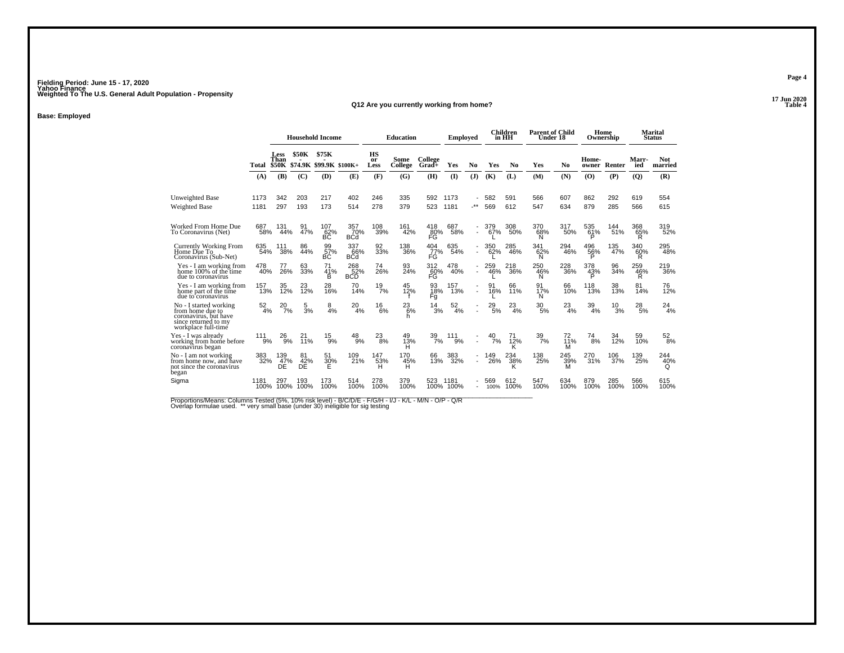**17 Jun 2020Q12 Are you currently working from home?**

**Base: Employed**

|                                                                                                                    |                  |                                     | <b>Household Income</b> |                                  |                          |                         | <b>Education</b> |                  | <b>Employed</b>  |                          |             | <b>Children</b><br>in HH | <b>Parent of Child</b><br>Under 18 |                |                 | Home<br>Ownership |                 | <b>Marital</b><br><b>Status</b> |
|--------------------------------------------------------------------------------------------------------------------|------------------|-------------------------------------|-------------------------|----------------------------------|--------------------------|-------------------------|------------------|------------------|------------------|--------------------------|-------------|--------------------------|------------------------------------|----------------|-----------------|-------------------|-----------------|---------------------------------|
|                                                                                                                    | Total            | <b>Less</b><br>Than<br><b>\$50K</b> | <b>\$50K</b>            | \$75K<br>\$74.9K \$99.9K \$100K+ |                          | <b>HS</b><br>or<br>Less | Some<br>College  | College<br>Grad+ | Yes              | No                       | Yes         | N <sub>0</sub>           | Yes                                | N <sub>0</sub> | Home-<br>owner  | Renter            | Marr-<br>ied    | <b>Not</b><br>married           |
|                                                                                                                    | (A)              | (B)                                 | (C)                     | (D)                              | (E)                      | (F)                     | (G)              | (H)              | $($ $\Gamma$     | (J)                      | (K)         | (L)                      | (M)                                | (N)            | (O)             | (P)               | (Q)             | (R)                             |
| <b>Unweighted Base</b>                                                                                             | 1173             | 342                                 | 203                     | 217                              | 402                      | 246                     | 335              | 592              | 1173             |                          | 582         | 591                      | 566                                | 607            | 862             | 292               | 619             | 554                             |
| Weighted Base                                                                                                      | 1181             | 297                                 | 193                     | 173                              | 514                      | 278                     | 379              | 523              | 1181             | $\cdot^{\star\star}$     | 569         | 612                      | 547                                | 634            | 879             | 285               | 566             | 615                             |
| Worked From Home Due<br>To Coronavirus (Net)                                                                       | 687<br>58%       | 131<br>44%                          | 91<br>47%               | 107<br>62%<br>BC                 | 357<br>70%<br><b>BCd</b> | 108<br>39%              | 161<br>42%       | 418<br>80%<br>FĞ | 687<br>58%       | $\overline{\phantom{a}}$ | 379<br>67%  | 308<br>50%               | 370<br>68%<br>N                    | 317<br>50%     | 535<br>61%<br>P | 144<br>51%        | 368<br>65%<br>R | 319<br>52%                      |
| <b>Currently Working From</b><br>Home Due To<br>Coronavirus (Sub-Net)                                              | 635<br>54%       | 111<br>38%                          | 86<br>44%               | 99<br>57%<br>BC.                 | 337<br>66%<br><b>BCd</b> | 92<br>33%               | 138<br>36%       | 404<br>77%<br>FG | 635<br>54%       | $\overline{\phantom{a}}$ | 350<br>62%  | 285<br>46%               | 341<br>62%<br>N                    | 294<br>46%     | 496<br>56%<br>Þ | 135<br>47%        | 340<br>60%<br>R | 295<br>48%                      |
| Yes - I am working from<br>home 100% of the time<br>due to coronavirus                                             | 478<br>40%       | 77<br>26%                           | 63<br>33%               | 71<br>$\frac{41\%}{B}$           | 268<br>BCD               | 74<br>26%               | 93<br>24%        | 312<br>60%<br>FG | 478<br>40%       | $\overline{\phantom{a}}$ | 259<br>46%  | 218<br>36%               | 250<br>46%<br>Ñ                    | 228<br>36%     | 378<br>43%      | 96<br>34%         | 259<br>46%      | 219<br>36%                      |
| Yes - I am working from<br>home part of the time<br>due to coronavirus                                             | 157<br>13%       | 12%                                 | 12%                     | 28<br>16%                        | 70<br>14%                | $^{19}_{7\%}$           | 45<br>12%        | 93<br>18%<br>Fg  | 157<br>13%       | $\blacksquare$           | 16%         | 66<br>11%                | 91<br>17%<br>N                     | 66<br>10%      | 118<br>13%      | 38<br>13%         | 81<br>14%       | 76<br>12%                       |
| No - I started working<br>from home due to<br>coronavirus, but have<br>since returned to my<br>workplace full-time | $\frac{52}{4\%}$ | 20<br>7%                            | $\frac{5}{3%}$          | 8<br>4%                          | 20<br>4%                 | 16<br>6%                | 23<br>6%<br>h.   | 14<br>3%         | $\frac{52}{4\%}$ |                          | 29<br>5%    | 23<br>4%                 | $^{30}_{\ 5\%}$                    | 23<br>4%       | 39<br>4%        | 10<br>3%          | 28<br>5%        | $^{24}_{4\%}$                   |
| Yes - I was alreadv<br>working from home before<br>coronavirus began                                               | 111<br>9%        | 26<br>9%                            | 21<br>11%               | 15<br>9%                         | $^{48}_{9\%}$            | $^{23}_{\ 8\%}$         | 49<br>13%<br>н   | $\frac{39}{7\%}$ | 111<br>9%        | $\blacksquare$           | 40<br>7%    | 71<br>12%<br>κ           | $\frac{39}{7\%}$                   | 72<br>11%<br>м | $^{74}_{\ 8\%}$ | 34<br>12%         | 59<br>10%       | $\frac{52}{8\%}$                |
| No - I am not working<br>from home now, and have<br>not since the coronavirus<br>began                             | 383<br>32%       | 139<br>47%<br>DE                    | 81<br>42%<br>DE         | 51<br>30%<br>Е                   | 109<br>21%               | 147<br>53%<br>н         | 170<br>45%<br>н  | 66<br>13%        | 383<br>32%       | $\overline{\phantom{a}}$ | 149<br>26%  | 234<br>38%               | 138<br>25%                         | 245<br>39%     | 270<br>31%      | 106<br>37%        | 139<br>25%      | 244<br>40%<br>Q                 |
| Sigma                                                                                                              | 1181<br>100%     | 297<br>100%                         | 193<br>100%             | 173<br>100%                      | 514<br>100%              | 278<br>100%             | 379<br>100%      | 523<br>100%      | 1181<br>100%     | $\overline{\phantom{a}}$ | 569<br>100% | 612<br>100%              | 547<br>100%                        | 634<br>100%    | 879<br>100%     | 285<br>100%       | 566<br>100%     | 615<br>100%                     |

Proportions/Means: Columns Tested (5%, 10% risk level) - B/C/D/E - F/G/H - I/J - K/L - M/N - O/P - Q/R<br>Overlap formulae used. \*\* very small base (under 30) ineligible for sig testing

**Page 4**

17 Jun 2020<br>Table 4 **Table 4 Table 4 Table 4 Table 4 Table 4 Table 4 Table 4 Table 4 Table 4 Table 4 Table 4 Table 4 Table 4 Table 4 Table 4 Table 4 Table 4 Table 4 Table 4 Table 4 Table 4 Table 4 T**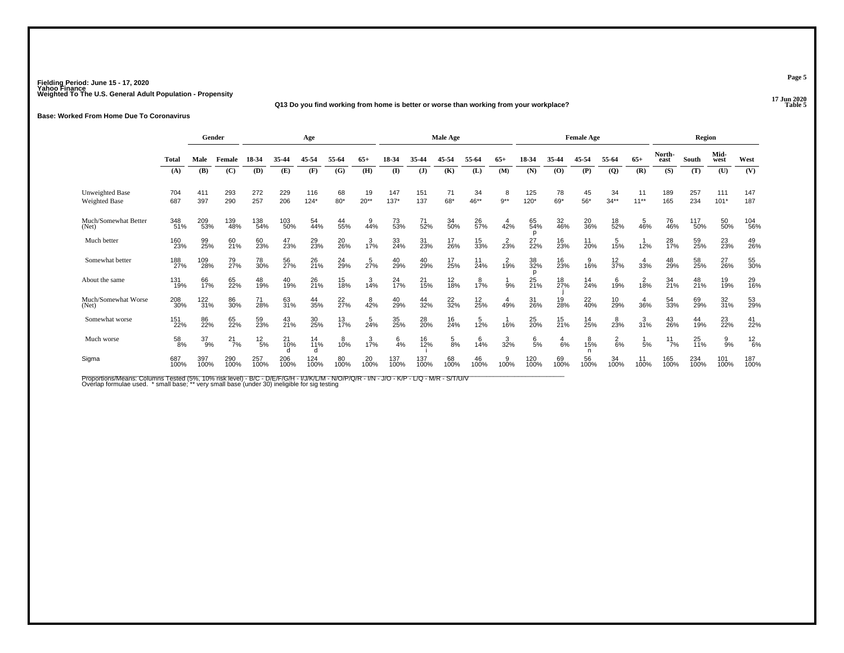## **17 Jun 2020Q13 Do you find working from home is better or worse than working from your workplace?**

**Base: Worked From Home Due To Coronavirus**

|                                  |             | Gender          |               |                 | Age         |               |                |                  |                 |              | Male Age       |                  |                  |                |              | <b>Female Age</b> |                  |                |                    | Region      |                 |               |
|----------------------------------|-------------|-----------------|---------------|-----------------|-------------|---------------|----------------|------------------|-----------------|--------------|----------------|------------------|------------------|----------------|--------------|-------------------|------------------|----------------|--------------------|-------------|-----------------|---------------|
|                                  | Total       | Male            | Female        | 18-34           | 35-44       | 45-54         | 55-64          | $65+$            | 18-34           | 35-44        | 45-54          | 55-64            | $65+$            | 18-34          | 35-44        | 45-54             | 55-64            | $65+$          | North-<br>east     | South       | Mid-<br>west    | West          |
|                                  | (A)         | <b>(B)</b>      | (C)           | (D)             | (E)         | (F)           | (G)            | (H)              | (I)             | $\mathbf{J}$ | (K)            | (L)              | (M)              | (N)            | (0)          | (P)               | $\overline{Q}$   | (R)            | (S)                | (T)         | (U)             | (V)           |
| Unweighted Base<br>Weighted Base | 704<br>687  | 411<br>397      | 293<br>290    | 272<br>257      | 229<br>206  | 116<br>$124*$ | 68<br>$80*$    | 19<br>$20**$     | 147<br>$137*$   | 151<br>137   | 71<br>68*      | 34<br>$46**$     | 8<br>$9**$       | 125<br>$120*$  | 78<br>69*    | 45<br>$56*$       | 34<br>$34**$     | 11<br>$11***$  | 189<br>165         | 257<br>234  | 111<br>$101*$   | 147<br>187    |
| Much/Somewhat Better<br>(Net)    | 348<br>51%  | 209<br>53%      | 139<br>48%    | 138<br>54%      | 103<br>50%  | 54<br>44%     | 44<br>55%      | $^{9}_{44\%}$    | 73 <sub>%</sub> | 71<br>52%    | 34<br>50%      | 26<br>57%        | 42%              | 65<br>54%<br>n | 32<br>46%    | 20<br>36%         | 18<br>52%        | 46%            | 76<br>46%          | 117<br>50%  | 50%             | 104<br>56%    |
| Much better                      | 160<br>23%  | 99<br>25%       | 60<br>21%     | 60<br>23%       | 47<br>23%   | 29<br>23%     | 20<br>26%      | $1\frac{3}{7}\%$ | 33<br>24%       | 31<br>23%    | 17<br>26%      | 15<br>33%        | $2^{2}_{3\%}$    | 27<br>22%      | 16<br>23%    | 11<br>20%         | 15%              | 12%            | 28<br>17%          | 59<br>25%   | 23 <sub>%</sub> | 49<br>26%     |
| Somewhat better                  | 188<br>27%  | 109<br>28%      | 79<br>27%     | 78<br>30%       | 56<br>27%   | 26<br>21%     | 24<br>29%      | $\frac{5}{27%}$  | 40<br>29%       | 40<br>29%    | 17<br>25%      | $11$<br>24%      | $1\frac{2}{9}$ % | 38<br>32%<br>D | 16<br>23%    | $\frac{9}{16\%}$  | $\frac{12}{37%}$ | 4<br>33%       | 48<br>29%          | 58<br>25%   | 27<br>26%       | 55<br>30%     |
| About the same                   | 131<br>19%  | 66<br>17%       | 65<br>22%     | 48<br>19%       | 40<br>19%   | 26<br>21%     | 15<br>18%      | 3/14%            | 24<br>17%       | 21<br>15%    | 12<br>18%      | $1\frac{8}{7}\%$ | $\frac{1}{9%}$   | 25<br>21%      | 18<br>27%    | $14$<br>24%       | 6<br>19%         | 18%            | 34<br>21%          | 48<br>21%   | 19 <sub>%</sub> | 29<br>16%     |
| Much/Somewhat Worse<br>(Net)     | 208<br>30%  | $^{122}_{31\%}$ | 86<br>30%     | 71<br>28%       | 63<br>31%   | 44<br>35%     | $^{22}_{27\%}$ | 42%              | 40<br>29%       | 44<br>32%    | $^{22}_{32\%}$ | $^{12}_{25\%}$   | 49%              | 31<br>26%      | 19<br>28%    | 22 <sub>0%</sub>  | 10<br>29%        | 36%            | 54<br>33%          | 69<br>29%   | 32 <sub>%</sub> | 53<br>29%     |
| Somewhat worse                   | 151<br>22%  | 86<br>22%       | 65<br>22%     | 59<br>23%       | 43<br>21%   | 30<br>25%     | 13<br>17%      | $\frac{5}{24%}$  | 35 <sub>%</sub> | 28<br>20%    | 16<br>24%      | 12%              | 16%              | 25<br>20%      | 15<br>21%    | 14<br>25%         | $^{8}_{23\%}$    | 31%            | 43<br>26%          | 44<br>19%   | 23<br>22%       | 41<br>22%     |
| Much worse                       | 58<br>8%    | 37<br>9%        | $^{21}_{7\%}$ | $^{12}_{\ 5\%}$ | 21<br>10%   | 14<br>11%     | $^{8}_{10\%}$  | $1\frac{3}{7\%}$ | $6\frac{6}{4%}$ | 16<br>12%    | $\frac{5}{8%}$ | $^{6}_{14\%}$    | 32%              | $\frac{6}{5%}$ | $^{4}_{6\%}$ | 15%               | $\frac{2}{6%}$   | $\frac{1}{5%}$ | $11$ <sub>7%</sub> | 25<br>11%   | $\frac{9}{9\%}$ | $^{12}_{6\%}$ |
| Sigma                            | 687<br>100% | 397<br>100%     | 290<br>100%   | 257<br>100%     | 206<br>100% | 124<br>100%   | 80<br>100%     | 20<br>100%       | 137<br>100%     | 137<br>100%  | 68<br>100%     | 46<br>100%       | 100%             | 120<br>100%    | 69<br>100%   | 56<br>100%        | 34<br>100%       | 11<br>100%     | 165<br>100%        | 234<br>100% | 101<br>100%     | 187<br>100%   |

Proportions/Means: Columns Tested (5%, 10% risk level) - B/C - D/E/F/G/H - I/J/K/L/M - N/O/P/Q/R - I/N - J/O - K/P - L/Q - M/R - S/T/U/V<br>Overlap formulae used. \*small base; \* very small base (under 30) ineligible for sig t

**Page 5**

17 Jun 2020<br>Table 5 **Table 5 Table 5**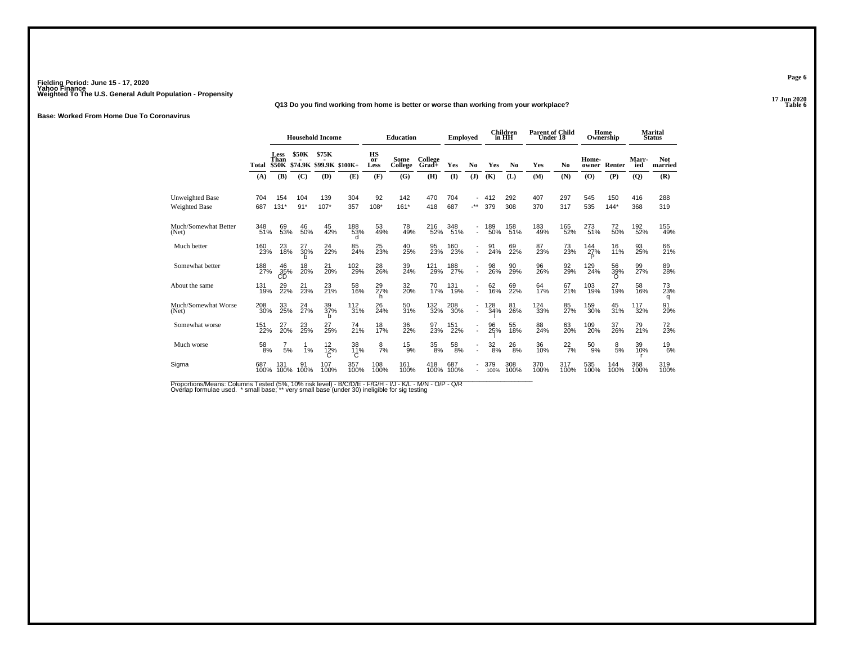## **17 Jun 2020Q13 Do you find working from home is better or worse than working from your workplace?**

**Base: Worked From Home Due To Coronavirus**

|                                         |             | <b>Household Income</b> |                   |                                        |                     | <b>Education</b>        |                 | <b>Employed</b>    |                    |                          | <b>Children</b><br>in HH | <b>Parent of Child</b><br>Under 18 |             |                | Home<br>Ownership |               | Marital<br><b>Status</b> |                       |
|-----------------------------------------|-------------|-------------------------|-------------------|----------------------------------------|---------------------|-------------------------|-----------------|--------------------|--------------------|--------------------------|--------------------------|------------------------------------|-------------|----------------|-------------------|---------------|--------------------------|-----------------------|
|                                         | Total       | <b>Less</b><br>Than     | <b>\$50K</b>      | \$75K<br>\$50K \$74.9K \$99.9K \$100K+ |                     | <b>HS</b><br>or<br>Less | Some<br>College | College<br>$Grad+$ | Yes                | N <sub>0</sub>           | Yes                      | No                                 | Yes         | N <sub>0</sub> | Home-<br>owner    | Renter        | Marr-<br>ied             | <b>Not</b><br>married |
|                                         | (A)         | (B)                     | (C)               | (D)                                    | (E)                 | (F)                     | (G)             | (H)                | $\mathbf{I}$       | (J)                      | <b>(K)</b>               | (L)                                | (M)         | (N)            | (0)               | (P)           | (Q)                      | (R)                   |
| Unweighted Base<br><b>Weighted Base</b> | 704<br>687  | 154<br>$131*$           | 104<br>$91*$      | 139<br>$107*$                          | 304<br>357          | 92<br>108*              | 142<br>$161*$   | 470<br>418         | 704<br>687         | $\cdot^{\star\star}$     | 412<br>379               | 292<br>308                         | 407<br>370  | 297<br>317     | 545<br>535        | 150<br>$144*$ | 416<br>368               | 288<br>319            |
| Much/Somewhat Better<br>(Net)           | 348<br>51%  | 69<br>53%               | 46<br>50%         | 45<br>42%                              | 188<br>53%<br>Ч     | 53<br>49%               | 78<br>49%       | 216<br>52%         | 348<br>51%         | $\overline{\phantom{a}}$ | 189<br>50%               | 158<br>51%                         | 183<br>49%  | 165<br>52%     | 273<br>51%        | 72<br>50%     | 192<br>52%               | 155<br>49%            |
| Much better                             | 160<br>23%  | 23<br>18%               | $\frac{27}{30\%}$ | 24<br>22%                              | 85<br>24%           | 25<br>23%               | 40<br>25%       | 95<br>23%          | <sup>160</sup> 23% | Ĩ,                       | 91<br>24%                | 69<br>22%                          | 87<br>23%   | 73<br>23%      | 144<br>27%        | 16<br>11%     | 93<br>25%                | 66<br>21%             |
| Somewhat better                         | 188<br>27%  | $^{46}_{35\%}$          | 18<br>20%         | 21<br>20%                              | 102<br>29%          | 28<br>26%               | 39<br>24%       | 121<br>29%         | 188<br>27%         | $\overline{\phantom{a}}$ | 98<br>26%                | 90<br>29%                          | 96<br>26%   | 92<br>29%      | 129<br>24%        | 56<br>39%     | 99<br>27%                | 89<br>28%             |
| About the same                          | 131<br>19%  | 29<br>22%               | 21<br>23%         | 23<br>21%                              | 58<br>16%           | 29<br>27%               | 32<br>20%       | 70<br>17%          | 131<br>19%         | $\blacksquare$           | 62<br>16%                | 69<br>22%                          | 64<br>17%   | 67<br>21%      | 103<br>19%        | 27<br>19%     | 58<br>16%                | 73<br>23%<br>q        |
| Much/Somewhat Worse<br>(Net)            | 208<br>30%  | 33<br>25%               | 24<br>27%         | 39<br>37%<br>h                         | $\frac{112}{31\%}$  | 26<br>24%               | 50<br>31%       | 132<br>32%         | 208<br>30%         | $\blacksquare$           | 128<br>34%               | 81<br>26%                          | 124<br>33%  | 85<br>27%      | 159<br>30%        | 45<br>31%     | 117<br>32%               | 91<br>29%             |
| Somewhat worse                          | 151<br>22%  | $^{27}_{20\%}$          | $^{23}_{25\%}$    | 27<br>25%                              | 74<br>21%           | 18<br>17%               | 36<br>22%       | 97<br>23%          | 151<br>22%         | $\blacksquare$           | 96<br>25%                | 55<br>18%                          | 88<br>24%   | 63<br>20%      | 109<br>20%        | 37<br>26%     | 79<br>21%                | 72<br>23%             |
| Much worse                              | 58<br>8%    | 5%                      | 1%                | 12<br>$^{12\%}_{C}$                    | 38<br>$^{11\%}_{C}$ | 8<br>7%                 | 15<br>9%        | 35<br>8%           | 58<br>8%           | ٠                        | $\frac{32}{8\%}$         | $^{26}_{\ 8\%}$                    | 36<br>10%   | $^{22}_{7\%}$  | 50<br>9%          | 8<br>5%       | 39<br>10%                | $^{19}_{6\%}$         |
| Sigma                                   | 687<br>100% | 131<br>100%             | 91<br>100%        | 107<br>100%                            | 357<br>100%         | 108<br>100%             | 161<br>100%     | 418<br>100%        | 687<br>100%        | ٠                        | 379<br>100%              | 308<br>100%                        | 370<br>100% | 317<br>100%    | 535<br>100%       | 144<br>100%   | 368<br>100%              | 319<br>100%           |

Proportions/Means: Columns Tested (5%, 10% risk level) - B/C/D/E - F/G/H - I/J - K/L - M/N - O/P - Q/R<br>Overlap formulae used. \* small base; \*\* very small base (under 30) ineligible for sig testing

**Page 6**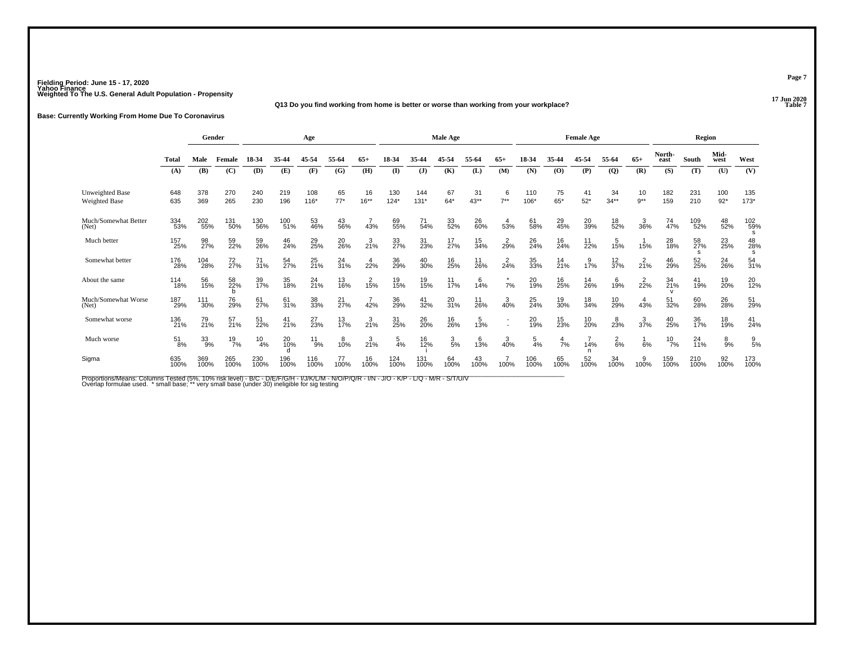## **17 Jun 2020Q13 Do you find working from home is better or worse than working from your workplace?**

**Base: Currently Working From Home Due To Coronavirus**

|                                         |                  | Gender           |               | Age               |                 |                |                |                  |                | Male Age      |                  |                   |                  |                | <b>Female Age</b> |                   |                  |                | Region         |                |                 |                |
|-----------------------------------------|------------------|------------------|---------------|-------------------|-----------------|----------------|----------------|------------------|----------------|---------------|------------------|-------------------|------------------|----------------|-------------------|-------------------|------------------|----------------|----------------|----------------|-----------------|----------------|
|                                         | Total            | Male             | Female        | 18-34             | 35-44           | 45-54          | 55-64          | $65+$            | 18-34          | 35.44         | 45-54            | 55-64             | $65+$            | 18-34          | 35-44             | 45-54             | 55-64            | $65+$          | North-<br>east | South          | Mid-<br>west    | West           |
|                                         | (A)              | <b>(B)</b>       | (C)           | (D)               | (E)             | (F)            | (G)            | (H)              | $\mathbf{I}$   | (J)           | (K)              | (L)               | (M)              | (N)            | (0)               | (P)               | $\overline{Q}$   | (R)            | (S)            | (T)            | (U)             | (V)            |
| <b>Unweighted Base</b><br>Weighted Base | 648<br>635       | 378<br>369       | 270<br>265    | 240<br>230        | 219<br>196      | 108<br>$116*$  | 65<br>$77*$    | 16<br>$16***$    | 130<br>$124*$  | 144<br>$131*$ | 67<br>$64*$      | 31<br>$43**$      | 6<br>$7**$       | 110<br>106*    | 75<br>$65*$       | 41<br>$52*$       | 34<br>$34**$     | 10<br>$9**$    | 182<br>159     | 231<br>210     | 100<br>$92*$    | 135<br>$173*$  |
| Much/Somewhat Better<br>(Net)           | 334<br>53%       | 202<br>55%       | 131<br>50%    | 130<br>56%        | 100<br>51%      | 53<br>46%      | 43<br>56%      | 43%              | 69<br>55%      | 71<br>54%     | 33<br>52%        | 26<br>60%         | $\frac{4}{53%}$  | 61<br>58%      | 29<br>45%         | 20 <sub>39%</sub> | 18<br>52%        | 36%            | 74<br>47%      | 109<br>52%     | 48<br>52%       | 102<br>59%     |
| Much better                             | 157<br>25%       | 98<br>27%        | 59<br>22%     | 59<br>26%         | 46<br>24%       | 29<br>25%      | 20<br>26%      | 3/21%            | 33<br>27%      | 31<br>23%     | 17<br>27%        | 15<br>34%         | $2^{2}_{9\%}$    | 26<br>24%      | 16<br>24%         | $\frac{11}{22\%}$ | 15%              | 15%            | 28<br>18%      | 58<br>27%<br>s | 23<br>25%       | 48<br>28%<br>s |
| Somewhat better                         | 176<br>28%       | 104<br>28%       | 72<br>27%     | $\frac{71}{31\%}$ | 54<br>27%       | 25<br>21%      | $^{24}_{31\%}$ | $4\over 22\%$    | 36<br>29%      | 40<br>30%     | 16<br>25%        | $\frac{11}{26\%}$ | $2^{2}_{4\%}$    | 35<br>33%      | 14<br>21%         | 17%               | $\frac{12}{37%}$ | $2^{2}_{1\%}$  | 46<br>29%      | 52<br>25%      | 24<br>26%       | 54<br>31%      |
| About the same                          | 114<br>18%       | 56<br>15%        | 58<br>22%     | 39<br>17%         | 35<br>18%       | $^{24}_{21\%}$ | 13<br>16%      | 15%              | 19<br>15%      | 19<br>15%     | $11$<br>$17%$    | 6<br>14%          | 7%               | 20<br>19%      | 16<br>25%         | 14<br>26%         | 6<br>19%         | $2^{2}_{22\%}$ | 34<br>21%      | 41<br>19%      | 19<br>20%       | 20<br>12%      |
| Much/Somewhat Worse<br>(Net)            | 187<br>29%       | 111<br>30%       | 76<br>29%     | 61 <sub>27%</sub> | 61 <sub>%</sub> | 38<br>33%      | $^{21}_{27\%}$ | 42%              | 36<br>29%      | 41<br>32%     | $\frac{20}{31%}$ | $11_{26\%}$       | 3/40%            | 25<br>24%      | 19<br>30%         | 18<br>34%         | 10<br>29%        | 43%            | 51<br>32%      | 60<br>28%      | 26 <sub>%</sub> | 51<br>29%      |
| Somewhat worse                          | 136<br>21%       | 79<br>21%        | 57<br>21%     | 51<br>22%         | $^{41}_{21\%}$  | 27<br>23%      | 13<br>17%      | $\frac{3}{21\%}$ | 31<br>25%      | 26<br>20%     | 16<br>26%        | 13%               |                  | 20<br>19%      | 15<br>23%         | 10<br>20%         | 823%             | 37%            | 40<br>25%      | 36<br>17%      | 18<br>19%       | 41<br>24%      |
| Much worse                              | $\frac{51}{8\%}$ | $\frac{33}{9\%}$ | $^{19}_{7\%}$ | $^{10}_{4\%}$     | 20<br>10%       | $^{11}_{9\%}$  | $^{8}_{10\%}$  | $\frac{3}{21\%}$ | $\frac{5}{4%}$ | 16<br>12%     | $\frac{3}{5\%}$  | 13%               | $\frac{3}{40\%}$ | $\frac{5}{4%}$ | $\frac{4}{7}$ %   | 14%               | $\frac{2}{6}$ %  | 6%             | $^{10}_{7\%}$  | 24<br>11%      | $\frac{8}{9\%}$ | $\frac{9}{5%}$ |
| Sigma                                   | 635<br>100%      | 369<br>100%      | 265<br>100%   | 230<br>100%       | 196<br>100%     | 116<br>100%    | 77<br>100%     | 16<br>100%       | 124<br>100%    | 131<br>100%   | 64<br>100%       | 43<br>100%        | 100%             | 106<br>100%    | 65<br>100%        | 52<br>100%        | 34<br>100%       | 100%           | 159<br>100%    | 210<br>100%    | 92<br>100%      | 173<br>100%    |

Proportions/Means: Columns Tested (5%, 10% risk level) - B/C - D/E/F/G/H - I/J/K/L/M - N/O/P/Q/R - I/N - J/O - K/P - L/Q - M/R - S/T/U/V<br>Overlap formulae used. \*small base; \* very small base (under 30) ineligible for sig t

**Page 7**

17 Jun 2020<br>Table 7 **Table 7 Table 7**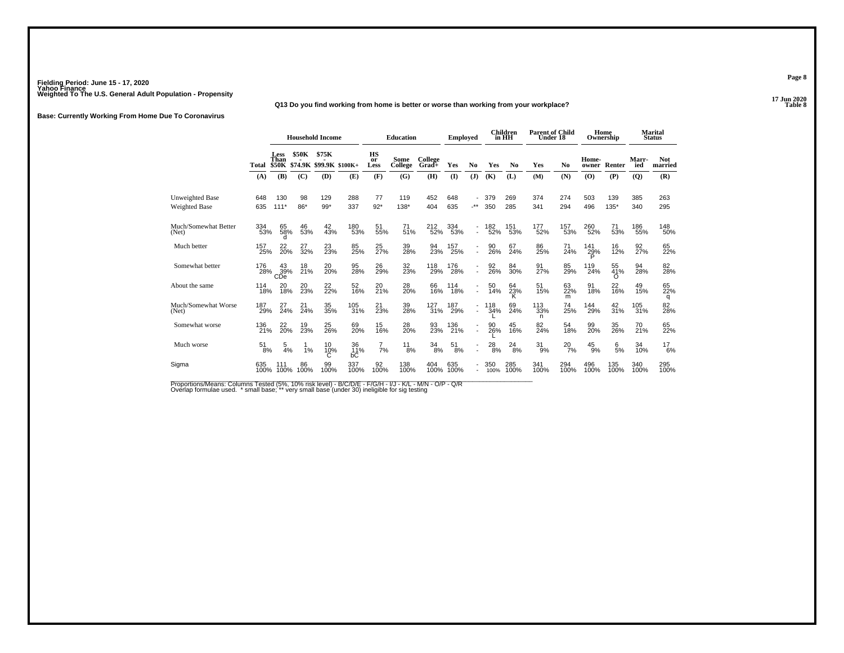## **17 Jun 2020Q13 Do you find working from home is better or worse than working from your workplace?**

**Base: Currently Working From Home Due To Coronavirus**

|                                         |             | <b>Household Income</b>          |                   |                                        |                 |                         | <b>Education</b> |                  | <b>Employed</b> |                          |                  | Children<br>in HH | <b>Parent of Child</b><br>Under 18 |                |                | Home<br>Ownership     |              | Marital<br><b>Status</b> |
|-----------------------------------------|-------------|----------------------------------|-------------------|----------------------------------------|-----------------|-------------------------|------------------|------------------|-----------------|--------------------------|------------------|-------------------|------------------------------------|----------------|----------------|-----------------------|--------------|--------------------------|
|                                         | Total       | <b>Less</b><br>Than              | <b>\$50K</b>      | \$75K<br>\$50K \$74.9K \$99.9K \$100K+ |                 | <b>HS</b><br>or<br>Less | Some<br>College  | College<br>Grad+ | Yes             | N <sub>0</sub>           | Yes              | N <sub>0</sub>    | Yes                                | N <sub>0</sub> | Home-<br>owner | Renter                | Marr-<br>ied | <b>Not</b><br>married    |
|                                         | (A)         | (B)                              | (C)               | (D)                                    | (E)             | (F)                     | (G)              | (H)              | $\mathbf{I}$    | (J)                      | (K)              | (L)               | (M)                                | (N)            | (O)            | (P)                   | $\mathbf{Q}$ | (R)                      |
| Unweighted Base<br><b>Weighted Base</b> | 648<br>635  | 130<br>$111*$                    | 98<br>$86*$       | 129<br>$99*$                           | 288<br>337      | 77<br>$92*$             | 119<br>138*      | 452<br>404       | 648<br>635      | $\cdot^{\star\star}$     | 379<br>350       | 269<br>285        | 374<br>341                         | 274<br>294     | 503<br>496     | 139<br>$135*$         | 385<br>340   | 263<br>295               |
| Much/Somewhat Better<br>(Net)           | 334<br>53%  | 65<br>58%                        | 46<br>53%         | 42<br>43%                              | 180<br>53%      | 51<br>55%               | 71<br>51%        | 212<br>52%       | 334<br>53%      | $\blacksquare$           | 182<br>52%       | 151<br>53%        | 177<br>52%                         | 157<br>53%     | 260<br>52%     | 71<br>53%             | 186<br>55%   | 148<br>50%               |
| Much better                             | 157<br>25%  | 22 <sub>0%</sub>                 | $\frac{27}{32\%}$ | 23 <sub>%</sub>                        | 85<br>25%       | 25<br>27%               | 39<br>28%        | 94<br>23%        | $^{157}_{25\%}$ | $\mathbf{r}$             | 90<br><b>26%</b> | 67<br>24%         | 86<br>25%                          | 71<br>24%      | 141<br>29%     | 16<br>12%             | 92<br>27%    | 65<br>22%                |
| Somewhat better                         | 176<br>28%  | 43<br>$\overset{39}{\text{CDe}}$ | 18<br>21%         | 20 <sub>%</sub>                        | 95<br>28%       | 26<br>29%               | 32<br>23%        | 118<br>29%       | 176<br>28%      | $\mathbf{r}$             | 92<br>26%        | 84<br>30%         | 91<br>27%                          | 85<br>29%      | 119<br>24%     | 55<br>41%<br>$\Omega$ | 94<br>28%    | 82<br>28%                |
| About the same                          | 114<br>18%  | 20<br>18%                        | 20<br>23%         | 22<br>22%                              | 52<br>16%       | 20<br>21%               | 28<br>20%        | 66<br>16%        | 114<br>18%      | $\blacksquare$           | 50<br>14%        | 64<br>23%         | 51<br>15%                          | 63<br>22%<br>m | 91<br>18%      | 22<br>16%             | 49<br>15%    | 65<br>22%<br>q           |
| Much/Somewhat Worse<br>(Net)            | 187<br>29%  | 27<br>24%                        | 21<br>24%         | 35<br>35%                              | 105<br>31%      | 21<br>23%               | 39<br>28%        | 127<br>31%       | 187<br>29%      | $\overline{\phantom{a}}$ | 118<br>34%       | 69<br>24%         | 113<br>33%<br>n                    | 74<br>25%      | 144<br>29%     | 42<br>31%             | 105<br>31%   | 82<br>28%                |
| Somewhat worse                          | 136<br>21%  | $^{22}_{20\%}$                   | 19<br>23%         | 25<br>26%                              | 69<br>20%       | 15<br>16%               | 28<br>20%        | 93<br>23%        | 136<br>21%      | $\blacksquare$           | 26%              | 45<br>16%         | 82<br>24%                          | 54<br>18%      | 99<br>20%      | 35<br>26%             | 70<br>21%    | 65<br>22%                |
| Much worse                              | 51<br>8%    | 5<br>4%                          | 1%                | 10<br>10%                              | 36<br>11%<br>bĊ | $\frac{7}{7\%}$         | 11<br>8%         | $\frac{34}{8\%}$ | 51<br>8%        | $\blacksquare$           | 28<br>8%         | 24<br>8%          | 31<br>9%                           | $^{20}_{7\%}$  | 45<br>9%       | 6/5%                  | 34<br>10%    | $^{17}_{6\%}$            |
| Sigma                                   | 635<br>100% | 111<br>100%                      | 86<br>100%        | 99<br>100%                             | 337<br>100%     | 92<br>100%              | 138<br>100%      | 404<br>100%      | 635<br>100%     |                          | 350<br>100%      | 285<br>100%       | 341<br>100%                        | 294<br>100%    | 496<br>100%    | 135<br>100%           | 340<br>100%  | 295<br>100%              |

Proportions/Means: Columns Tested (5%, 10% risk level) - B/C/D/E - F/G/H - I/J - K/L - M/N - O/P - Q/R<br>Overlap formulae used. \* small base; \*\* very small base (under 30) ineligible for sig testing

**Page 8**

17 Jun 2020<br>Table 8 **Table 8**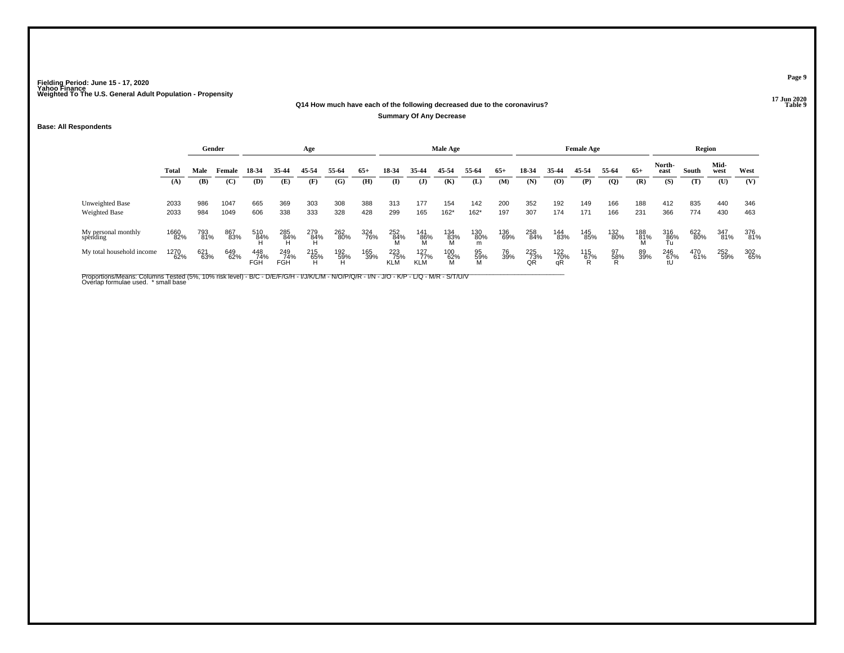## **17 Jun 2020Q14 How much have each of the following decreased due to the coronavirus?**

**Summary Of Any Decrease**

### **Base: All Respondents**

|                                  |              |            | Gender<br>Age |                   |                   |            |            |            |                   |                          | Male Age              |                |            |                                |                  | <b>Female Age</b> |                |            |                    | Region     |              |            |
|----------------------------------|--------------|------------|---------------|-------------------|-------------------|------------|------------|------------|-------------------|--------------------------|-----------------------|----------------|------------|--------------------------------|------------------|-------------------|----------------|------------|--------------------|------------|--------------|------------|
|                                  | Total        | Male       | Female        | 18-34             | 35 44             | 45-54      | 55-64      | $65+$      | 18-34             | 35-44                    | 45-54                 | 55-64          | $65+$      | 18-34                          | 35-44            | 45-54             | 55-64          | $65+$      | North-<br>east     | South      | Mid-<br>west | West       |
|                                  | (A)          | (B)        | (C)           | (D)               | (E)               | (F)        | (G)        | (H)        | (I)               | $\mathbf{J}$             | (K)                   | (L)            | (M)        | (N)                            | (0)              | (P)               | $\overline{Q}$ | (R)        | (S)                | (T)        | (U)          | (V)        |
| Unweighted Base<br>Weighted Base | 2033<br>2033 | 986<br>984 | 1047<br>1049  | 665<br>606        | 369<br>338        | 303<br>333 | 308<br>328 | 388<br>428 | 313<br>299        | 177<br>165               | 154<br>$162*$         | 142<br>$162*$  | 200<br>197 | 352<br>307                     | 192<br>174       | 149<br>171        | 166<br>166     | 188<br>231 | 412<br>366         | 835<br>774 | 440<br>430   | 346<br>463 |
| My personal monthly<br>spending  | 1660<br>82%  | 793<br>81% | 867<br>83%    | 510<br>84%        | 285<br>84%        | 279<br>84% | 262<br>80% | 324<br>76% | 252<br>84%        | 141<br>86%               | 134<br>83%<br>M       | 130<br>80%     | 136<br>69% | 258<br>84%                     | 144<br>83%       | 145<br>85%        | 132<br>80%     | 188<br>81% | 316<br><u>8</u> 6% | 622<br>80% | 347<br>81%   | 376<br>81% |
| My total household income        | 1270<br>62%  | 621<br>63% | 649<br>62%    | 448<br>74%<br>FGH | 249<br>74%<br>FGH | 215<br>65% | 192<br>59% | 165<br>39% | 223<br>75%<br>KLM | 127<br>77%<br><b>KLM</b> | 100<br>$\frac{62}{M}$ | 95<br>59%<br>M | 76<br>39%  | 225<br>$\overline{73}$ %<br>QR | 122<br>70%<br>αŔ | 115<br>67%        | 97<br>58%      | 89<br>39%  | 246<br>67%<br>tU   | 470<br>61% | 252<br>59%   | 302<br>65% |

Proportions/Means: Columns Tested (5%, 10% risk level) - B/C - D/E/F/G/H - I/J/K/L/M - N/O/P/Q/R - I/N - J/O - K/P - L/Q - M/R - S/T/U/V<br>Overlap formulae used. \*small base

**Page 9**

### 17 Jun 2020<br>Table 9 **Properties and the set of the set of the set of the set of the set of the set of the set of the set of the set of the set of the set of the set of the set of the set of the set of the set of the set of the set of the set**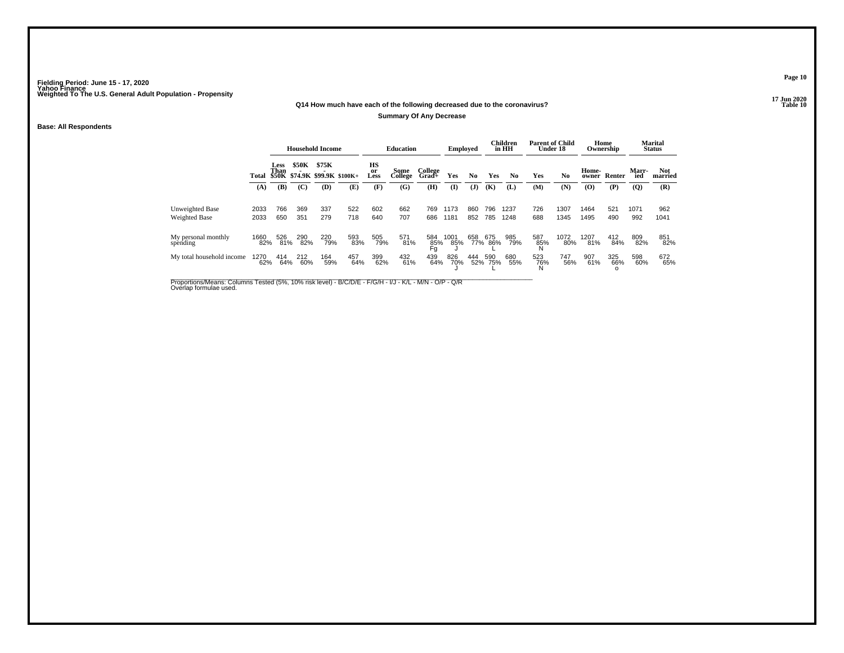## **17 Jun 2020Q14 How much have each of the following decreased due to the coronavirus?**

### **Summary Of Any Decrease**

### **Base: All Respondents**

|                                  |              |                     |              | <b>Household Income</b>                |            |                             | <b>Education</b> |                  | <b>Employed</b> |            |            | Children<br>in HH | <b>Parent of Child</b><br>Under 18 |                | Ownership      | Home       |                    | <b>Marital</b><br><b>Status</b> |
|----------------------------------|--------------|---------------------|--------------|----------------------------------------|------------|-----------------------------|------------------|------------------|-----------------|------------|------------|-------------------|------------------------------------|----------------|----------------|------------|--------------------|---------------------------------|
|                                  | Total        | <b>Less</b><br>Than | <b>\$50K</b> | \$75K<br>\$50K \$74.9K \$99.9K \$100K+ |            | HS<br><sub>or</sub><br>Less | Some<br>College  | College<br>Grad+ | Yes             | No.        | Yes        | N <sub>0</sub>    | Yes                                | N <sub>0</sub> | Home-<br>owner | Renter     | <b>Marr</b><br>ied | <b>Not</b><br>married           |
|                                  | (A)          | (B)                 | (C)          | (D)                                    | (E)        | (F)                         | (G)              | (H)              | $\mathbf{I}$    | (J)        | (K)        | (L)               | (M)                                | (N)            | (O)            | (P)        | (Q)                | (R)                             |
| Unweighted Base<br>Weighted Base | 2033<br>2033 | 766<br>650          | 369<br>351   | 337<br>279                             | 522<br>718 | 602<br>640                  | 662<br>707       | 769<br>686       | 1173<br>1181    | 860<br>852 | 796<br>785 | 1237<br>1248      | 726<br>688                         | 1307<br>1345   | 1464<br>1495   | 521<br>490 | 1071<br>992        | 962<br>1041                     |
| My personal monthly<br>spending  | 1660<br>82%  | 526<br>81%          | 290<br>82%   | 220<br>79%                             | 593<br>83% | 505<br>79%                  | 571<br>81%       | 584<br>85%<br>Fg | 1001<br>85%     | 658<br>77% | 675<br>86% | 985<br>79%        | 587<br>85%<br>N                    | 1072<br>80%    | 1207<br>81%    | 412<br>84% | 809<br>82%         | 851<br>82%                      |
| My total household income        | 1270<br>62%  | 414<br>64%          | 212<br>60%   | 164<br>59%                             | 457<br>64% | 399<br>62%                  | 432<br>61%       | 439<br>64%       | 826<br>70%      | 444<br>52% | 590<br>75% | 680<br>55%        | 523<br>76%                         | 747<br>56%     | 907<br>61%     | 325<br>66% | 598<br>60%         | 672<br>65%                      |

Proportions/Means: Columns Tested (5%, 10% risk level) - B/C/D/E - F/G/H - I/J - K/L - M/N - O/P - Q/R<br>Overlap formulae used.

**Page 10**

17 Jun 2020<br>Table 10 **P** Table 10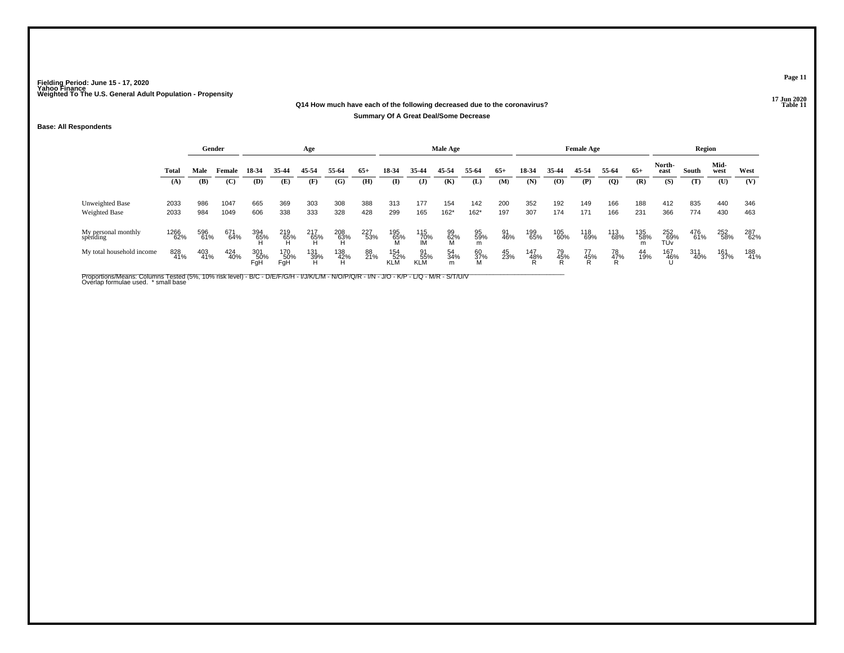### **17 Jun 2020Q14 How much have each of the following decreased due to the coronavirus?Summary Of A Great Deal/Some Decrease**

### **Base: All Respondents**

|                                  |              |            | Gender<br>Age |                   |                   |                 |            |            |                   |                         | Male Age       |                |            |            |                | <b>Female Age</b> |                |            |                   | Region     |              |            |
|----------------------------------|--------------|------------|---------------|-------------------|-------------------|-----------------|------------|------------|-------------------|-------------------------|----------------|----------------|------------|------------|----------------|-------------------|----------------|------------|-------------------|------------|--------------|------------|
|                                  | Total        | Male       | Female        | 18-34             | 35-44             | 45-54           | 55-64      | $65+$      | 18-34             | 35-44                   | 45-54          | 55-64          | $65+$      | 18-34      | 35-44          | 45-54             | 55-64          | $65+$      | North-<br>east    | South      | Mid-<br>west | West       |
|                                  | (A)          | (B)        | (C)           | (D)               | (E)               | (F)             | (G)        | (H)        | (I)               | ( <b>J</b> )            | (K)            | (L)            | (M)        | (N)        | (O)            | (P)               | $\overline{Q}$ | (R)        | (S)               | (T)        | (U)          | (V)        |
| Unweighted Base<br>Weighted Base | 2033<br>2033 | 986<br>984 | 1047<br>1049  | 665<br>606        | 369<br>338        | 303<br>333      | 308<br>328 | 388<br>428 | 313<br>299        | 177<br>165              | 154<br>$162*$  | 142<br>$162*$  | 200<br>197 | 352<br>307 | 192<br>174     | 149<br>171        | 166<br>166     | 188<br>231 | 412<br>366        | 835<br>774 | 440<br>430   | 346<br>463 |
| My personal monthly<br>spending  | 1266<br>62%  | 596<br>61% | 671<br>64%    | 394<br>65%        | 219<br>65%        | 217<br>65%      | 208<br>63% | 227<br>53% | 195<br>65%        | 115<br>70%<br>IM        | 99<br>62%      | 95<br>59%<br>m | 91<br>46%  | 199<br>65% | 105<br>60%     | 118<br>69%        | 113<br>68%     | 135<br>58% | 252<br>69%<br>TŨv | 476<br>61% | 252<br>58%   | 287<br>62% |
| My total household income        | 828<br>41%   | 403<br>41% | 424<br>40%    | 301<br>50%<br>FaH | 170<br>50%<br>FgH | 131<br>39%<br>н | 138<br>42% | 88<br>21%  | 154<br>52%<br>KLM | 91<br>55%<br><b>KLM</b> | 54<br>34%<br>m | 60<br>37%<br>M | 45<br>23%  | 147<br>48% | 79<br>45%<br>D | 77<br>45%<br>D    | 78<br>47%<br>D | 44<br>19%  | 167<br>46%        | 311<br>40% | 161<br>37%   | 188<br>41% |

Proportions/Means: Columns Tested (5%, 10% risk level) - B/C - D/E/F/G/H - I/J/K/L/M - N/O/P/Q/R - I/N - J/O - K/P - L/Q - M/R - S/T/U/V<br>Overlap formulae used. \*small base

**Page 11**

### 17 Jun 2020<br>Table 11 **P Table 11**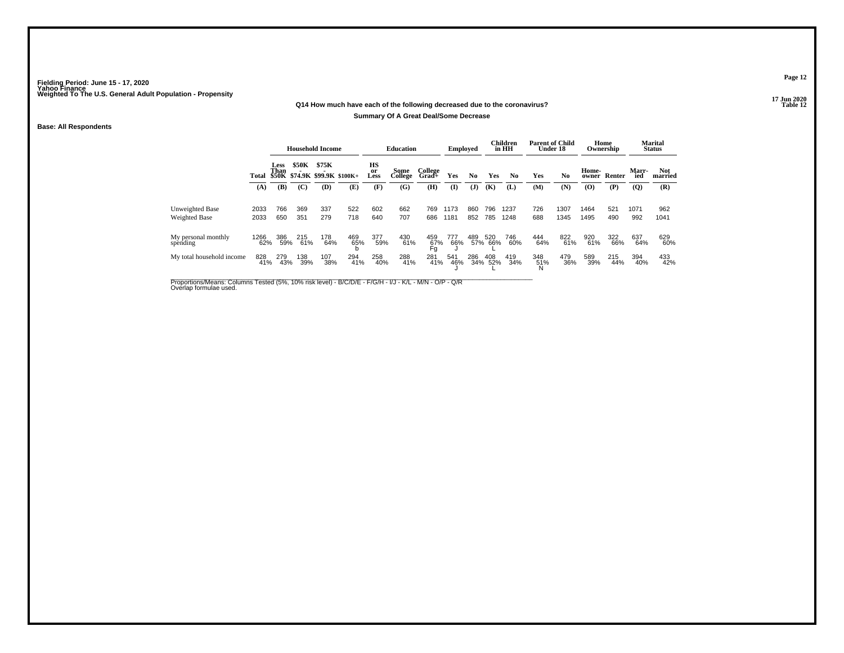## **17 Jun 2020Q14 How much have each of the following decreased due to the coronavirus?**

### **Summary Of A Great Deal/Some Decrease**

### **Base: All Respondents**

|                                  |              |                              |              | <b>Household Income</b> |                         |                  | <b>Education</b> |                  | Employed     |                |            | Children<br>in HH | <b>Parent of Child</b><br>Under 18 |                |                | Home<br>Ownership |                     | <b>Marital</b><br><b>Status</b> |
|----------------------------------|--------------|------------------------------|--------------|-------------------------|-------------------------|------------------|------------------|------------------|--------------|----------------|------------|-------------------|------------------------------------|----------------|----------------|-------------------|---------------------|---------------------------------|
|                                  | Total        | <b>Less</b><br>Than<br>\$50K | <b>\$50K</b> | \$75K                   | \$74.9K \$99.9K \$100K+ | HS<br>or<br>Less | Some<br>College  | College<br>Grad+ | Yes          | N <sub>0</sub> | Yes        | N <sub>0</sub>    | Yes                                | N <sub>0</sub> | Home-<br>owner | Renter            | <b>Marr-</b><br>ied | Not<br>married                  |
|                                  | (A)          | (B)                          | (C)          | (D)                     | (E)                     | (F)              | (G)              | (H)              | $\mathbf{I}$ | $\mathbf{J}$   | (K)        | (L)               | (M)                                | (N)            | $\bf{(O)}$     | (P)               | (Q)                 | (R)                             |
| Unweighted Base<br>Weighted Base | 2033<br>2033 | 766<br>650                   | 369<br>351   | 337<br>279              | 522<br>718              | 602<br>640       | 662<br>707       | 769<br>686       | 1173<br>1181 | 860<br>852     | 796<br>785 | 1237<br>1248      | 726<br>688                         | 1307<br>1345   | 1464<br>1495   | 521<br>490        | 1071<br>992         | 962<br>1041                     |
| My personal monthly<br>spending  | 1266<br>62%  | 386<br>59%                   | 215<br>61%   | 178<br>64%              | 469<br>65%              | 377<br>59%       | 430<br>61%       | 459<br>67%<br>Fg | 777<br>66%   | 489/57%        | 520<br>66% | 746<br>60%        | 444<br>64%                         | 822<br>61%     | 920<br>61%     | 322<br>66%        | 637<br>64%          | 629<br>60%                      |
| My total household income        | 828<br>41%   | 279<br>43%                   | 138<br>39%   | 107<br>38%              | 294<br>41%              | 258<br>40%       | 288<br>41%       | 281<br>41%       | 541<br>46%   | 286<br>34%     | 408<br>52% | 419<br>34%        | 348<br>51%                         | 479<br>36%     | 589<br>39%     | 215<br>44%        | 394<br>40%          | 433<br>42%                      |

Proportions/Means: Columns Tested (5%, 10% risk level) - B/C/D/E - F/G/H - I/J - K/L - M/N - O/P - Q/R<br>Overlap formulae used.

**Page 12**

17 Jun 2020<br>Table 12 **Table 12**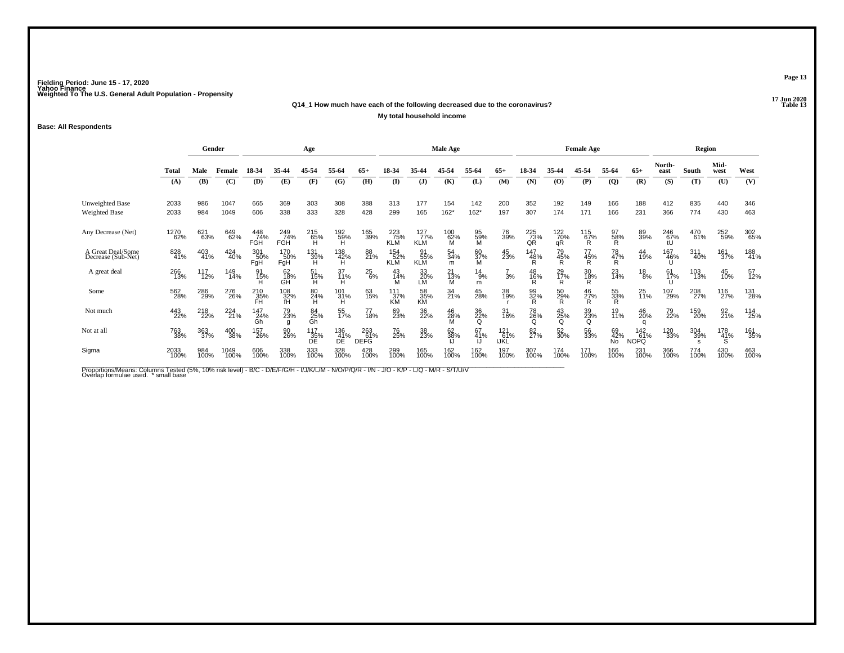### **17 Jun 2020Q14\_1 How much have each of the following decreased due to the coronavirus?P** Table 13

**My total household income**

### **Base: All Respondents**

|                                         | Gender<br>Age |                       |                         |                               |                       |                  |                  |                           |                          |                                  | Male Age        |                    |                    |                  |                      | <b>Female Age</b> |                      |                           |                | Region      |                            |             |
|-----------------------------------------|---------------|-----------------------|-------------------------|-------------------------------|-----------------------|------------------|------------------|---------------------------|--------------------------|----------------------------------|-----------------|--------------------|--------------------|------------------|----------------------|-------------------|----------------------|---------------------------|----------------|-------------|----------------------------|-------------|
|                                         | Total         | Male                  | Female                  | 18-34                         | 35-44                 | 45-54            | 55-64            | $65+$                     | 18-34                    | 35-44                            | 45-54           | 55-64              | $65+$              | 18-34            | 35-44                | 45-54             | 55-64                | $65+$                     | North-<br>east | South       | Mid-<br>west               | West        |
|                                         | (A)           | (B)                   | (C)                     | (D)                           | (E)                   | (F)              | (G)              | (H)                       | $\mathbf{I}$             | $\mathbf{J}$                     | (K)             | (L)                | (M)                | (N)              | (O)                  | (P)               | $\overline{Q}$       | (R)                       | (S)            | (T)         | (U)                        | (V)         |
| <b>Unweighted Base</b>                  | 2033          | 986                   | 1047                    | 665                           | 369                   | 303              | 308              | 388                       | 313                      | 177                              | 154             | 142                | 200                | 352              | 192                  | 149               | 166                  | 188                       | 412            | 835         | 440                        | 346         |
| <b>Weighted Base</b>                    | 2033          | 984                   | 1049                    | 606                           | 338                   | 333              | 328              | 428                       | 299                      | 165                              | $162*$          | $162*$             | 197                | 307              | 174                  | 171               | 166                  | 231                       | 366            | 774         | 430                        | 463         |
| Any Decrease (Net)                      | 1270<br>62%   | 621<br>63%            | 649<br>62%              | 448<br>74%<br>FGH             | 249<br>74%<br>FGH     | 215<br>65%<br>H  | 192<br>59%<br>Ĥ  | 165<br>39%                | 223<br>75%<br><b>KLM</b> | $\frac{127}{77}\%$<br><b>KLM</b> | 100<br>62%<br>M | 95<br>59%<br>M     | 76<br>39%          | 225<br>73%<br>QR | 122<br>70%<br>qR     | $^{115}_{67\%}$   | 97<br>$\frac{58}{R}$ | 89<br>39%                 | 246<br>67%     | 470<br>61%  | 252<br>59%                 | 302<br>65%  |
| A Great Deal/Some<br>Decrease (Sub-Net) | 828<br>41%    | 403<br>41%            | 424<br>40%              | 301<br>50%<br>FgH             | 170<br>50%<br>FgH     | 131<br>39%<br>Ή  | 138<br>42%<br>H  | 88<br>21%                 | 154<br>52%<br><b>KLM</b> | 91<br>55%<br><b>KLM</b>          | 54<br>34%<br>m  | 60<br>37%<br>M     | 45<br>23%          | 147<br>48%<br>Ŕ  | 79<br>45%<br>Ŕ.      | 77<br>45%<br>Ŕ    | 78<br>47%<br>R       | 44<br>19%                 | 167<br>46%     | 311<br>40%  | 161<br>37%                 | 188<br>41%  |
| A great deal                            | 266<br>13%    | <sup>117</sup><br>12% | 149<br>14%              | 91<br>15%                     | 62<br>18%<br>GĤ       | 51<br>15%<br>H   | 37<br>11%<br>H   | $^{25}_{6\%}$             | 43<br>14%                | $\underset{\mathsf{LM}}{33}$     | 21<br>13%<br>M  | $^{14}_{9\%}$<br>m | 3%                 | 48<br>16%<br>Ř   | 29 <sub>%</sub><br>R | 30<br>18%<br>R    | $^{23}_{14\%}$       | $^{18}_{8\%}$             | 61<br>17%      | 103<br>13%  | 45<br>10%                  | 57<br>12%   |
| Some                                    | 562<br>28%    | 286<br>29%            | 276<br>26%              | 210<br>$\frac{35}{\text{FH}}$ | 108<br>$\frac{32}{1}$ | 80<br>24%<br>H   | 101<br>31%<br>Ή  | 63<br>15%                 | 111<br>37%<br>KM         | 58<br>$\frac{35}{5}$             | 34<br>21%       | 45<br>28%          | 38<br>19%          | 99<br>32%<br>R   | $^{50}_{29\%}$       | $^{46}_{27\%}$    | 55<br>33%<br>R       | 25<br>11%                 | 107<br>29%     | 208<br>27%  | 116<br>27%                 | 131<br>28%  |
| Not much                                | 443<br>22%    | 218<br>22%            | 224<br>$\overline{21%}$ | 147<br>24%<br>Gh              | 79<br>23%<br>g        | 84<br>25%<br>Gh  | 55<br>17%        | 77<br>18%                 | 69<br>23%                | 36<br>22%                        | 46<br>28%       | 36<br>22%<br>Q     | 31<br>16%          | 78<br>26%<br>Q   | 43<br>25%<br>Q       | 39<br>23%<br>Q    | 19<br>11%            | 46<br>20%                 | 79<br>22%      | 159<br>20%  | $\frac{92}{21\%}$          | 114<br>25%  |
| Not at all                              | 763<br>38%    | 363<br>37%            | 400<br>38%              | 157<br>26%                    | 90<br>26%             | 117<br>35%<br>DΕ | 136<br>41%<br>DE | 263<br>61%<br><b>DEFG</b> | 76<br>25%                | 38<br>23%                        | 62<br>38%       | 67<br>41%          | 121<br>61%<br>IJŘĹ | 82<br>27%        | 52<br>30%            | 56<br>33%         | 69<br>42%<br>No      | 142<br>61%<br><b>NOPQ</b> | 120<br>33%     | 304<br>39%  | 178<br>41%<br><sub>S</sub> | 161<br>35%  |
| Sigma                                   | 2033<br>100%  | 984<br>100%           | 1049<br>100%            | 606<br>100%                   | 338<br>100%           | 333<br>100%      | 328<br>100%      | 428<br>100%               | 299<br>100%              | 165<br>100%                      | 162<br>100%     | 162<br>100%        | 197<br>100%        | 307<br>100%      | 174<br>100%          | 171<br>100%       | 166<br>100%          | 231<br>100%               | 366<br>100%    | 774<br>100% | 430<br>100%                | 463<br>100% |

Proportions/Means: Columns Tested (5%, 10% risk level) - B/C - D/E/F/G/H - I/J/K/L/M - N/O/P/Q/R - I/N - J/O - K/P - L/Q - M/R - S/T/U/V<br>Overlap formulae used. \*small base

**Page 13**

17 Jun 2020<br>Table 13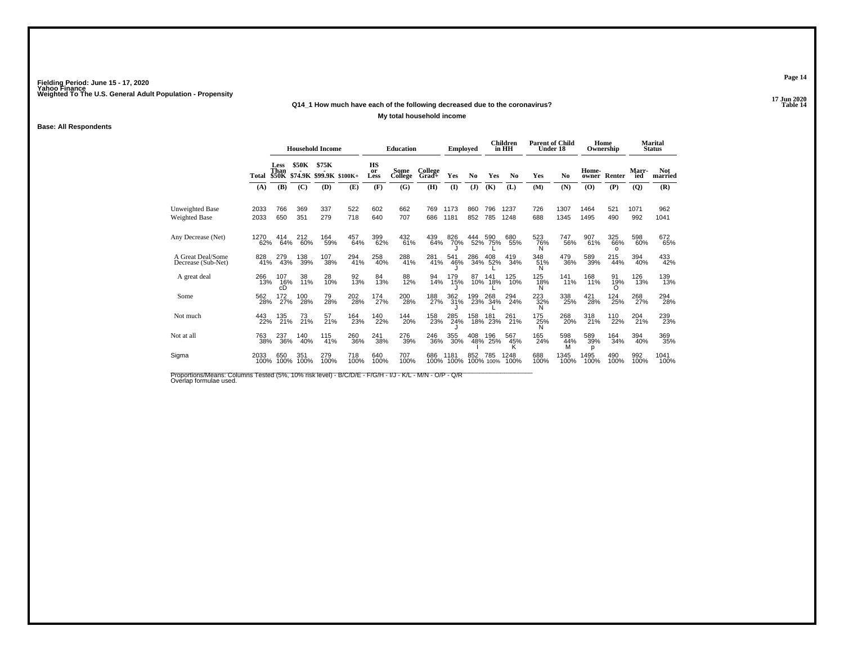## **17 Jun 2020Q14\_1 How much have each of the following decreased due to the coronavirus?**

### **My total household income**

### **Base: All Respondents**

|                                         |              | <b>Household Income</b>                    |                     |                                         |             | <b>Education</b>               |                        | <b>Employed</b>           |                     |            | Children<br>in HH  | <b>Parent of Child</b><br>Under 18 |                 | Ownership             | Home                  |                               | Marital<br><b>Status</b>       |                              |
|-----------------------------------------|--------------|--------------------------------------------|---------------------|-----------------------------------------|-------------|--------------------------------|------------------------|---------------------------|---------------------|------------|--------------------|------------------------------------|-----------------|-----------------------|-----------------------|-------------------------------|--------------------------------|------------------------------|
|                                         | Total<br>(A) | <b>Less</b><br>Than<br><b>\$50K</b><br>(B) | <b>\$50K</b><br>(C) | \$75K<br>\$74.9K \$99.9K \$100K+<br>(D) | (E)         | <b>HS</b><br>or<br>Less<br>(F) | Some<br>College<br>(G) | College<br>$Grad+$<br>(H) | Yes<br>$\mathbf{I}$ | No.<br>(J) | Yes<br>(K)         | N <sub>0</sub><br>(L)              | Yes<br>(M)      | N <sub>0</sub><br>(N) | Home-<br>owner<br>(O) | Renter<br>(P)                 | Marr-<br>ied<br>$\overline{Q}$ | <b>Not</b><br>married<br>(R) |
| Unweighted Base<br><b>Weighted Base</b> | 2033<br>2033 | 766<br>650                                 | 369<br>351          | 337<br>279                              | 522<br>718  | 602<br>640                     | 662<br>707             | 769<br>686                | 1173<br>1181        | 860<br>852 | 796<br>785         | 1237<br>1248                       | 726<br>688      | 1307<br>1345          | 1464<br>1495          | 521<br>490                    | 1071<br>992                    | 962<br>1041                  |
| Any Decrease (Net)                      | 1270<br>62%  | 414<br>64%                                 | 212<br>60%          | 164<br>59%                              | 457<br>64%  | 399<br>62%                     | 432<br>61%             | 439<br>64%                | 826<br>70%          |            | 444 590<br>52% 75% | 680<br>55%                         | 523<br>76%<br>Ν | 747<br>56%            | 907<br>61%            | 325<br>66%<br>$\Omega$        | 598<br>60%                     | 672<br>65%                   |
| A Great Deal/Some<br>Decrease (Sub-Net) | 828<br>41%   | 279<br>43%                                 | 138<br>39%          | 107<br>38%                              | 294<br>41%  | 258<br>40%                     | 288<br>41%             | 281<br>41%                | 541<br>46%          | 286        | 408<br>34% 52%     | 419<br>34%                         | 348<br>51%<br>Ν | 479<br>36%            | 589<br>39%            | 215<br>44%                    | 394<br>40%                     | 433<br>42%                   |
| A great deal                            | 266<br>13%   | 107<br>16%<br>cD                           | 38<br>11%           | 28<br>10%                               | 92<br>13%   | 84<br>13%                      | 88<br>12%              | 94<br>14%                 | 179<br>15%          | 87<br>10%  | 141<br>18%         | 125<br>10%                         | 125<br>18%<br>Ν | 141<br>11%            | 168<br>11%            | 91<br>19%                     | 126<br>13%                     | 139<br>13%                   |
| Some                                    | 562<br>28%   | 172<br>27%                                 | 100<br>28%          | 79<br>28%                               | 202<br>28%  | 174<br>27%                     | 200<br>28%             | 188<br>27%                | 362<br>31%          |            | 199 268<br>23% 34% | 294<br>24%                         | 223<br>32%<br>N | 338<br>25%            | 421<br>28%            | <sup>124</sup> <sub>25%</sub> | 268<br>27%                     | 294<br>28%                   |
| Not much                                | 443<br>22%   | 135<br>21%                                 | 73<br>21%           | 57<br>21%                               | 164<br>23%  | 140<br>22%                     | 144<br>20%             | 158<br>23%                | 285<br>24%          | 158        | 181<br>18% 23%     | 261<br>21%                         | 175<br>25%      | 268<br>20%            | 318<br>21%            | 110<br>22%                    | 204<br>21%                     | 239<br>23%                   |
| Not at all                              | 763<br>38%   | 237<br>36%                                 | 140<br>40%          | 115<br>41%                              | 260<br>36%  | 241<br>38%                     | 276<br>39%             | 246<br>36%                | 355<br>30%          | 408<br>48% | 196<br>25%         | 567<br>45%<br>κ                    | 165<br>24%      | 598<br>44%<br>М       | 589<br>39%<br>р       | 164<br>34%                    | 394<br>40%                     | 369<br>35%                   |
| Sigma                                   | 2033<br>100% | 650<br>100%                                | 351<br>100%         | 279<br>100%                             | 718<br>100% | 640<br>100%                    | 707<br>100%            | 686                       | 1181<br>100% 100%   | 852        | 785<br>100% 100%   | 1248<br>100%                       | 688<br>100%     | 1345<br>100%          | 1495<br>100%          | 490<br>100%                   | 992<br>100%                    | 1041<br>100%                 |

Proportions/Means: Columns Tested (5%, 10% risk level) - B/C/D/E - F/G/H - I/J - K/L - M/N - O/P - Q/R<br>Overlap formulae used.

**Page 14**

17 Jun 2020<br>Table 14 **Properties and the Contract of the Contract of Table 14**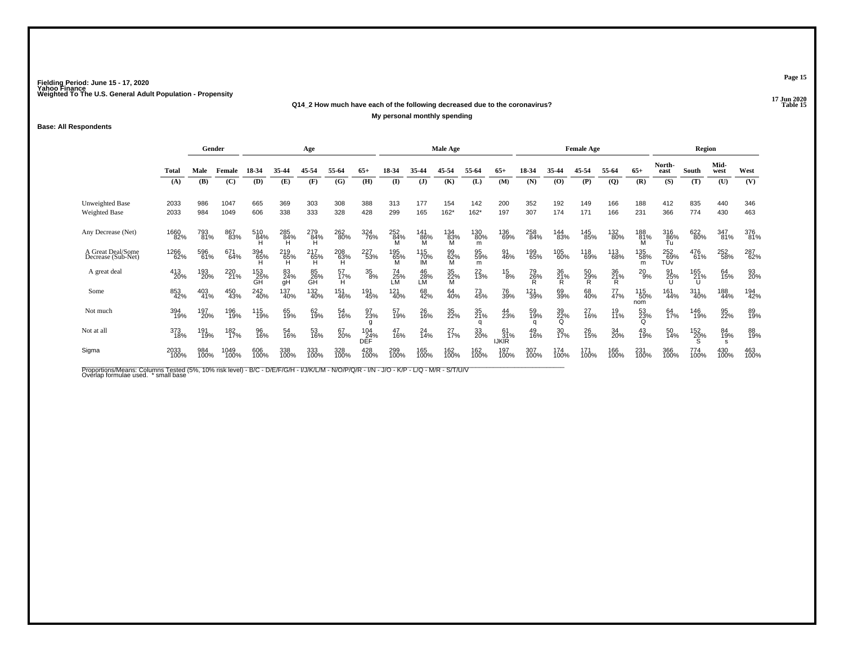### **17 Jun 2020Q14\_2 How much have each of the following decreased due to the coronavirus?P** Table 15 **My personal monthly spending**

### **Base: All Respondents**

|                                         |              | Gender      |              | Age              |                 |                 |                 |                          |                 |                  | <b>Male Age</b>       |                 |                           |             |                           | <b>Female Age</b> |                |                        |                               | Region       |              |             |
|-----------------------------------------|--------------|-------------|--------------|------------------|-----------------|-----------------|-----------------|--------------------------|-----------------|------------------|-----------------------|-----------------|---------------------------|-------------|---------------------------|-------------------|----------------|------------------------|-------------------------------|--------------|--------------|-------------|
|                                         | <b>Total</b> | Male        | Female       | 18-34            | 35-44           | 45-54           | 55-64           | 65+                      | 18-34           | 35.44            | 45-54                 | 55-64           | $65+$                     | 18-34       | 35-44                     | 45-54             | 55-64          | $65+$                  | North-<br>east                | <b>South</b> | Mid-<br>west | West        |
|                                         | (A)          | (B)         | (C)          | (D)              | (E)             | (F)             | (G)             | (H)                      | $\mathbf{I}$    | $\mathbf{J}$     | (K)                   | (L)             | (M)                       | (N)         | (0)                       | (P)               | $\overline{Q}$ | (R)                    | (S)                           | (T)          | (U)          | (V)         |
| <b>Unweighted Base</b><br>Weighted Base | 2033<br>2033 | 986<br>984  | 1047<br>1049 | 665<br>606       | 369<br>338      | 303<br>333      | 308<br>328      | 388<br>428               | 313<br>299      | 177<br>165       | 154<br>$162*$         | 142<br>$162*$   | 200<br>197                | 352<br>307  | 192<br>174                | 149<br>171        | 166<br>166     | 188<br>231             | 412<br>366                    | 835<br>774   | 440<br>430   | 346<br>463  |
| Any Decrease (Net)                      | 1660<br>82%  | 793<br>81%  | 867<br>83%   | 510<br>84%       | 285<br>84%      | 279<br>84%<br>н | 262<br>80%      | 324<br>76%               | 252<br>84%      | 141<br>86%<br>M  | 134<br>$\frac{83}{9}$ | 130<br>80%<br>m | 136<br>69%                | 258<br>84%  | 144<br>83%                | 145<br>85%        | 132<br>80%     | 188<br>$\frac{81}{14}$ | 316<br>$\frac{86}{10}$        | 622<br>80%   | 347<br>81%   | 376<br>81%  |
| A Great Deal/Some<br>Decrease (Sub-Net) | 1266<br>62%  | 596<br>61%  | 671<br>64%   | 394<br>65%       | 219<br>65%<br>н | 217<br>65%<br>н | 208<br>63%<br>н | 227<br>53%               | 195<br>65%      | 115<br>70%<br>IM | 99<br>62%<br>М        | 95<br>59%<br>m  | 91<br>46%                 | 199<br>65%  | 105<br>60%                | 118<br>69%        | 113<br>68%     | 135<br>58%<br>m        | 252<br>69%<br>TU <sub>v</sub> | 476<br>61%   | 252<br>58%   | 287<br>62%  |
| A great deal                            | 413<br>20%   | 193<br>20%  | 220<br>21%   | 153<br>25%<br>GĤ | 83<br>24%<br>qH | 85<br>26%<br>ĞĤ | 57<br>17%<br>H  | $^{35}_{8\%}$            | 74<br>25%<br>LM | 46<br>28%<br>LM  | 35<br>22%<br>M        | $^{22}_{13\%}$  | $^{15}_{8\%}$             | 79<br>26%   | 36<br>21%<br>$\mathsf{R}$ | 50<br>29%<br>Ŕ.   | 36<br>21%<br>R | $^{20}_{9\%}$          | 91<br>25%                     | 165<br>21%   | 64<br>15%    | 93<br>20%   |
| Some                                    | 853<br>42%   | 403<br>41%  | 450<br>43%   | 242<br>40%       | 137<br>40%      | 132<br>40%      | 151<br>46%      | 191<br>45%               | 121<br>40%      | 68<br>42%        | 64<br>40%             | 73<br>45%       | 76<br>39%                 | 121<br>39%  | 69<br>39%                 | 68<br>40%         | 77<br>47%      | 115<br>50%<br>nom      | 161<br>44%                    | 311<br>40%   | 188<br>44%   | 194<br>42%  |
| Not much                                | 394<br>19%   | 197<br>20%  | 196<br>19%   | 115<br>19%       | 65<br>19%       | 62<br>19%       | 54<br>16%       | 97<br>23%<br>g           | 57<br>19%       | 26<br>16%        | 35<br>22%             | 35<br>21%<br>a  | 44<br>23%                 | 59<br>19%   | 39<br>22%<br>$\Omega$     | 27<br>16%         | 19<br>11%      | 53<br>23%<br>Q         | 64<br>17%                     | 146<br>19%   | 95<br>22%    | 89<br>19%   |
| Not at all                              | 373<br>18%   | 191<br>19%  | 182<br>17%   | 96<br>16%        | 54<br>16%       | 53<br>16%       | 67<br>20%       | 104<br>24%<br><b>DEF</b> | 47<br>16%       | 24<br>14%        | 27<br>17%             | 33<br>20%       | 61<br>31%<br><b>IJKIR</b> | 49<br>16%   | 30<br>17%                 | 26<br>15%         | 34<br>20%      | 43<br>19%              | 50<br>14%                     | 152<br>20%   | 84<br>19%    | 88<br>19%   |
| Sigma                                   | 2033<br>100% | 984<br>100% | 1049<br>100% | 606<br>100%      | 338<br>100%     | 333<br>100%     | 328<br>100%     | 428<br>100%              | 299<br>100%     | 165<br>100%      | 162<br>100%           | 162<br>100%     | 197<br>100%               | 307<br>100% | 174<br>100%               | 171<br>100%       | 166<br>100%    | 231<br>100%            | 366<br>100%                   | 774<br>100%  | 430<br>100%  | 463<br>100% |

Proportions/Means: Columns Tested (5%, 10% risk level) - B/C - D/E/F/G/H - I/J/K/L/M - N/O/P/Q/R - I/N - J/O - K/P - L/Q - M/R - S/T/U/V<br>Overlap formulae used. \*small base

**Page 15**

17 Jun 2020<br>Table 15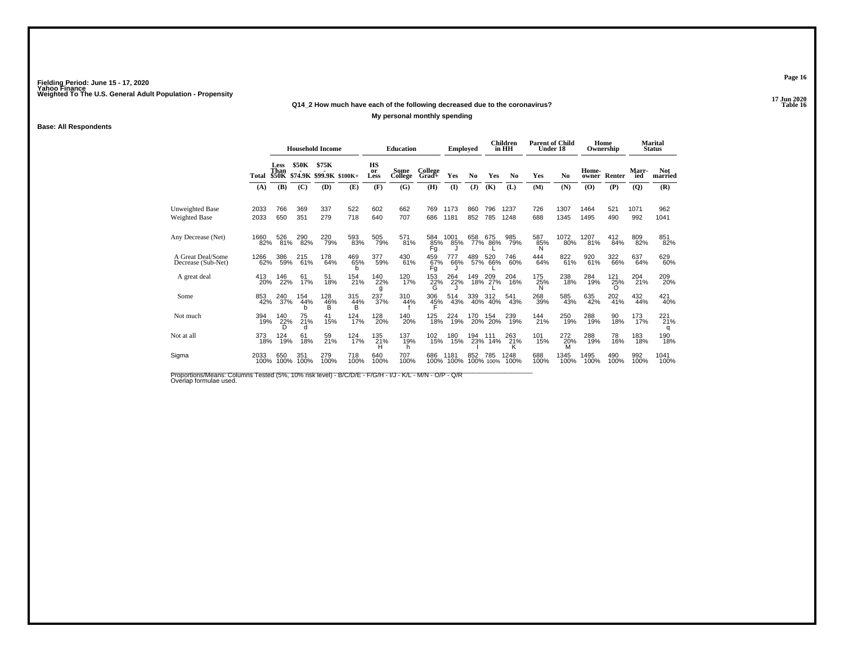## **17 Jun 2020Q14\_2 How much have each of the following decreased due to the coronavirus?**

### **My personal monthly spending**

### **Base: All Respondents**

|                                                |              | <b>Household Income</b>             |                 |                                         |                         | <b>Education</b> |                 | <b>Employed</b>    |                   |                | Children<br>in HH | <b>Parent of Child</b><br>Under 18 |                 | Ownership       | Home           |                 | Marital<br><b>Status</b> |                       |
|------------------------------------------------|--------------|-------------------------------------|-----------------|-----------------------------------------|-------------------------|------------------|-----------------|--------------------|-------------------|----------------|-------------------|------------------------------------|-----------------|-----------------|----------------|-----------------|--------------------------|-----------------------|
|                                                | Total        | <b>Less</b><br>Than<br><b>\$50K</b> | \$50K           | <b>\$75K</b><br>\$74.9K \$99.9K \$100K+ |                         | HS<br>or<br>Less | Some<br>College | College<br>$Grad+$ | Yes               | N <sub>0</sub> | Yes               | N <sub>0</sub>                     | Yes             | No              | Home-<br>owner | Renter          | Marr-<br>ied             | <b>Not</b><br>married |
|                                                | (A)          | (B)                                 | (C)             | (D)                                     | (E)                     | (F)              | (G)             | (H)                | $\mathbf{I}$      | (J)            | (K)               | (L)                                | (M)             | (N)             | (O)            | (P)             | (Q)                      | (R)                   |
| <b>Unweighted Base</b><br><b>Weighted Base</b> | 2033<br>2033 | 766<br>650                          | 369<br>351      | 337<br>279                              | 522<br>718              | 602<br>640       | 662<br>707      | 769<br>686         | 1173<br>1181      | 860<br>852     | 796<br>785        | 1237<br>1248                       | 726<br>688      | 1307<br>1345    | 1464<br>1495   | 521<br>490      | 1071<br>992              | 962<br>1041           |
| Any Decrease (Net)                             | 1660<br>82%  | 526<br>81%                          | 290<br>82%      | 220<br>79%                              | 593<br>83%              | 505<br>79%       | $^{571}_{81\%}$ | 584<br>85%<br>Fg   | 1001<br>85%       | 658            | 675<br>77% 86%    | 985<br>79%                         | 587<br>85%<br>Ν | 1072<br>80%     | 1207<br>81%    | 412<br>84%      | 809<br>82%               | 851<br>82%            |
| A Great Deal/Some<br>Decrease (Sub-Net)        | 1266<br>62%  | 386<br>59%                          | 215<br>61%      | 178<br>64%                              | 469<br>65%<br>h         | 377<br>59%       | 430<br>61%      | 459<br>67%<br>Fg   | 777<br>66%        | 489            | 520<br>57% 66%    | 746<br>60%                         | 444<br>64%      | 822<br>61%      | 920<br>61%     | 322<br>66%      | 637<br>64%               | 629<br>60%            |
| A great deal                                   | 413<br>20%   | 146<br>22%                          | 61<br>17%       | 51<br>18%                               | 154<br>21%              | 140<br>22%<br>g  | 120<br>17%      | 153<br>22%         | 264<br>22%        | 149<br>18%     | 209<br>27%        | 204<br>16%                         | 175<br>25%<br>N | 238<br>18%      | 284<br>19%     | 121<br>25%      | 204<br>21%               | 209<br>20%            |
| Some                                           | 853<br>42%   | 240<br>37%                          | 154<br>44%<br>h | 128<br>46%<br>в                         | $\frac{315}{44\%}$<br>B | 237 <sub>%</sub> | 310<br>44%      | 306<br>45%         | 514<br>43%        | 339            | 312<br>40% 40%    | 541<br>43%                         | 268<br>39%      | 585<br>43%      | 635<br>42%     | $^{202}_{41\%}$ | 432<br>44%               | 421<br>40%            |
| Not much                                       | 394<br>19%   | 140<br>22%<br>D                     | 75<br>21%<br>d  | 41<br>15%                               | 124<br>17%              | 128<br>20%       | 140<br>20%      | 125<br>18%         | 224<br>19%        | 170            | 154<br>20% 20%    | 239<br>19%                         | 144<br>21%      | 250<br>19%      | 288<br>19%     | 90<br>18%       | 173<br>17%               | 221<br>21%            |
| Not at all                                     | 373<br>18%   | 124<br>19%                          | 61<br>18%       | 59<br>21%                               | 124<br>17%              | 135<br>21%<br>н  | 137<br>19%<br>h | 102<br>15%         | 180<br>15%        | 194            | 111<br>23% 14%    | 263<br>21%<br>ĸ                    | 101<br>15%      | 272<br>20%<br>M | 288<br>19%     | 78<br>16%       | 183<br>18%               | 190<br>18%            |
| Sigma                                          | 2033<br>100% | 650<br>100%                         | 351<br>100%     | 279<br>100%                             | 718<br>100%             | 640<br>100%      | 707<br>100%     | 686                | 1181<br>100% 100% | 852            | 785<br>100% 100%  | 1248<br>100%                       | 688<br>100%     | 1345<br>100%    | 1495<br>100%   | 490<br>100%     | 992<br>100%              | 1041<br>100%          |

Proportions/Means: Columns Tested (5%, 10% risk level) - B/C/D/E - F/G/H - I/J - K/L - M/N - O/P - Q/R<br>Overlap formulae used.

**Page 16**

17 Jun 2020<br>Table 16 **P** Table 16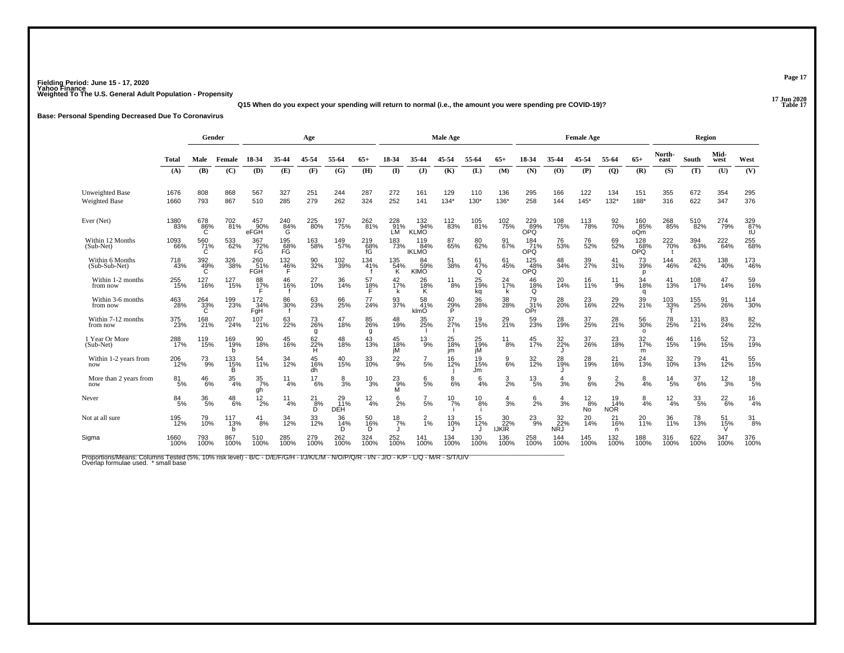**17 Jun 2020Q15 When do you expect your spending will return to normal (i.e., the amount you were spending pre COVID-19)?**

**Base: Personal Spending Decreased Due To Coronavirus**

|                                         |                  | Gender          |                  | Age                           |                  |                 |                         |                      |                       | Male Age                   |                    |                       |                           |                           | <b>Female Age</b>       |                       |                         |                      | Region           |                 |                  |                  |
|-----------------------------------------|------------------|-----------------|------------------|-------------------------------|------------------|-----------------|-------------------------|----------------------|-----------------------|----------------------------|--------------------|-----------------------|---------------------------|---------------------------|-------------------------|-----------------------|-------------------------|----------------------|------------------|-----------------|------------------|------------------|
|                                         | <b>Total</b>     | Male            | Female           | 18-34                         | 35-44            | 45-54           | 55-64                   | $65+$                | 18-34                 | 35.44                      | 45-54              | 55-64                 | $65+$                     | 18-34                     | 35-44                   | 45-54                 | 55-64                   | $65+$                | North-<br>east   | South           | Mid-<br>west     | West             |
|                                         | (A)              | (B)             | (C)              | (D)                           | (E)              | (F)             | (G)                     | (H)                  | $\mathbf{I}$          | $\mathbf{J}$               | (K)                | (L)                   | (M)                       | (N)                       | (0)                     | (P)                   | $\overline{Q}$          | (R)                  | (S)              | (T)             | (U)              | (V)              |
| <b>Unweighted Base</b><br>Weighted Base | 1676<br>1660     | 808<br>793      | 868<br>867       | 567<br>510                    | 327<br>285       | 251<br>279      | 244<br>262              | 287<br>324           | 272<br>252            | 161<br>141                 | 129<br>134'        | 110<br>$130*$         | 136<br>136*               | 295<br>258                | 166<br>144              | 122<br>$145*$         | 134<br>$132*$           | 151<br>188*          | 355<br>316       | 672<br>622      | 354<br>347       | 295<br>376       |
| Ever (Net)                              | 1380<br>83%      | 678<br>86%<br>C | 702<br>81%       | 457<br>90%<br>eFGH            | 240<br>84%<br>G  | 225<br>80%      | 197<br>75%              | 262<br>81%           | 228<br>91%<br>LM      | 132<br>94%<br><b>KLMO</b>  | <sup>112</sup> 83% | 105<br>81%            | 102<br>75%                | 229<br>89%<br>OPQ         | 108<br>75%              | 113<br>78%            | 92 <sub>%</sub>         | 160<br>85%<br>oQm    | 268<br>85%       | 510<br>82%      | 274<br>79%       | 329<br>87%<br>tU |
| Within 12 Months<br>(Sub-Net)           | 1093<br>66%      | 560<br>71%<br>C | 533<br>62%       | 367<br>$\frac{72}{\text{FG}}$ | 195<br>68%<br>FG | 163<br>58%      | 149<br>57%              | $^{219}_{68\%}$ fG   | 183<br>73%            | 119<br>84%<br><b>IKLMO</b> | 87<br>65%          | 80<br>62%             | 91<br>67%                 | $\frac{184}{71\%}$<br>OPQ | 76<br>53%               | 76<br>52%             | 69<br>52%               | 128<br>68%<br>OPQ    | 222<br>70%       | 394<br>63%      | 222<br>64%       | 255<br>68%       |
| Within 6 Months<br>(Sub-Sub-Net)        | 718<br>43%       | 392<br>49%<br>Ċ | 326<br>38%       | 260<br>51%<br>FGH             | 132<br>46%       | 90<br>32%       | 102<br>39%              | 134<br>41%           | 135<br>54%<br>K       | 84<br>59%<br><b>KIMO</b>   | 51<br>38%          | 61<br>47%<br>Q        | 61<br>45%                 | 125<br>48%<br><b>OPQ</b>  | 48<br>34%               | 39<br>27%             | 41<br>31%               | 73<br>39%<br>p       | 144<br>46%       | 263<br>42%      | 138<br>40%       | 173<br>46%       |
| Within 1-2 months<br>from now           | 255<br>15%       | 127<br>16%      | 127<br>15%       | 88<br>$\frac{17}{5}$          | 46<br>16%        | 27<br>10%       | 36<br>14%               | 57<br>$\frac{18}{5}$ | 42<br>17%             | 26<br>18%<br>Κ             | 11<br>8%           | 25<br>19%<br>kq       | 24<br>17%                 | 46<br>$^{18}_{\text{Q}}$  | 20<br>14%               | 16<br>11%             | $^{11}_{9\%}$           | 34<br>18%<br>q       | 41<br>13%        | 108<br>17%      | 47<br>14%        | 59<br>16%        |
| Within 3-6 months<br>from now           | 463<br>28%       | $^{264}_{33\%}$ | 199<br>23%       | 172<br>34%<br>FqH             | 86<br>30%        | 63<br>23%       | 66<br>25%               | 77<br>24%            | 93<br>37%             | 58<br>41%<br>klmO          | 40<br>29%<br>P     | 36<br>28%             | 38 <sub>%</sub>           | 79<br>31%<br>OPr          | 28<br>20%               | 23<br>16%             | 29 <sub>%</sub>         | 39<br>21%            | 103<br>33%       | 155<br>25%      | 91<br>26%        | 114<br>30%       |
| Within 7-12 months<br>from now          | 375<br>23%       | 168<br>21%      | 207<br>24%       | 107<br>21%                    | 63<br>22%        | 73<br>26%<br>g  | 47<br>18%               | 85<br>26%<br>g       | 48<br>19%             | 35<br>25%                  | 37<br>27%          | 19<br>15%             | 29<br>21%                 | 59<br>23%                 | 28<br>19%               | 37<br>25%             | 28<br>21%               | 56<br>30%<br>$\circ$ | 78<br>25%        | 131<br>21%      | 83<br>24%        | 82<br>22%        |
| 1 Year Or More<br>(Sub-Net)             | 288<br>17%       | 119<br>15%      | 169<br>19%<br>h  | 90<br>18%                     | 45<br>16%        | 62<br>22%<br>H  | 48<br>18%               | 43<br>13%            | 45<br>$\frac{18}{10}$ | $^{13}_{9\%}$              | 25<br>18%<br>im    | 25<br>19%<br>iМ       | 11<br>$\dot{}8\%$         | 45<br>17%                 | 32<br>22%               | 37<br>26%             | 23<br>18%               | 32<br>17%<br>m       | 46<br>15%        | 116<br>19%      | 52<br>15%        | 73<br>19%        |
| Within 1-2 years from<br>now            | 206<br>12%       | $^{73}_{9\%}$   | 133<br>15%<br>B  | 54<br>11%                     | 34<br>12%        | 45<br>16%<br>dh | 40<br>15%               | 33<br>10%            | $^{22}_{9\%}$         | $\frac{7}{5}$ %            | 16<br>12%          | 19 <sub>%</sub><br>Jm | $\frac{9}{6\%}$           | 32<br>12%                 | 28<br>19%               | 28<br>19%             | 21<br>16%               | 24<br>13%            | 32 <sub>0%</sub> | 79<br>13%       | 41<br>12%        | 55<br>15%        |
| More than 2 years from<br>now           | $\frac{81}{5\%}$ | $^{46}_{6\%}$   | $\frac{35}{4\%}$ | $\frac{35}{7}\%$<br>gh        | 11<br>4%         | 17<br>6%        | $\frac{8}{3%}$          | $^{10}_{3\%}$        | $^{23}_{9\%}$<br>M    | 6/5%                       | 8<br>6%            | 6<br>4%               | $\frac{3}{2\%}$           | $^{13}_{\ 5\%}$           | $\overline{4}$<br>3%    | $\frac{9}{6\%}$       | $\frac{2}{2}$ %         | $\frac{8}{4%}$       | $\frac{14}{5\%}$ | 37<br>6%        | $\frac{12}{3\%}$ | $^{18}_{\ 5\%}$  |
| Never                                   | $\frac{84}{5\%}$ | $^{36}_{5\%}$   | $^{48}_{6\%}$    | $^{12}_{2\%}$                 | 11<br>4%         | 21<br>8%<br>D   | 29<br>11%<br><b>DEH</b> | $\frac{12}{4%}$      | $\frac{6}{2}$ %       | $\frac{7}{5%}$             | $^{10}_{7\%}$      | 10<br>8%              | 4<br>3%                   | $6\over 2%$               | 4<br>3%                 | $\frac{12}{8%}$<br>No | 19<br>14%<br><b>NOR</b> | $\frac{8}{4\%}$      | $\frac{12}{4%}$  | $^{33}_{\ 5\%}$ | $^{22}_{6\%}$    | $\frac{16}{4%}$  |
| Not at all sure                         | 195<br>12%       | 79<br>10%       | 117<br>13%<br>b  | 41<br>8%                      | 34<br>12%        | 33<br>12%       | 36<br>14%<br>n          | 50<br>16%<br>D       | $\frac{18}{7\%}$      | $\frac{2}{1\%}$            | 13<br>10%          | 15<br>12%             | 30<br>22%<br><b>IJKIR</b> | $^{23}_{9\%}$             | 32<br>22%<br><b>NRJ</b> | 20<br>14%             | 21<br>16%<br>n          | 20<br><b>11%</b>     | 36<br>11%        | 78<br>13%       | 51<br>15%        | $\frac{31}{8\%}$ |
| Sigma                                   | 1660<br>100%     | 793<br>100%     | 867<br>100%      | 510<br>100%                   | 285<br>100%      | 279<br>100%     | 262<br>100%             | 324<br>100%          | 252<br>100%           | 141<br>100%                | 134<br>100%        | 130<br>100%           | 136<br>100%               | 258<br>100%               | 144<br>100%             | 145<br>100%           | 132<br>100%             | 188<br>100%          | 316<br>100%      | 622<br>100%     | 100%             | 376<br>100%      |

Proportions/Means: Columns Tested (5%, 10% risk level) - B/C - D/E/F/G/H - I/J/K/L/M - N/O/P/Q/R - I/N - J/O - K/P - L/Q - M/R - S/T/U/V<br>Overlap formulae used. \*small base

**Page 17**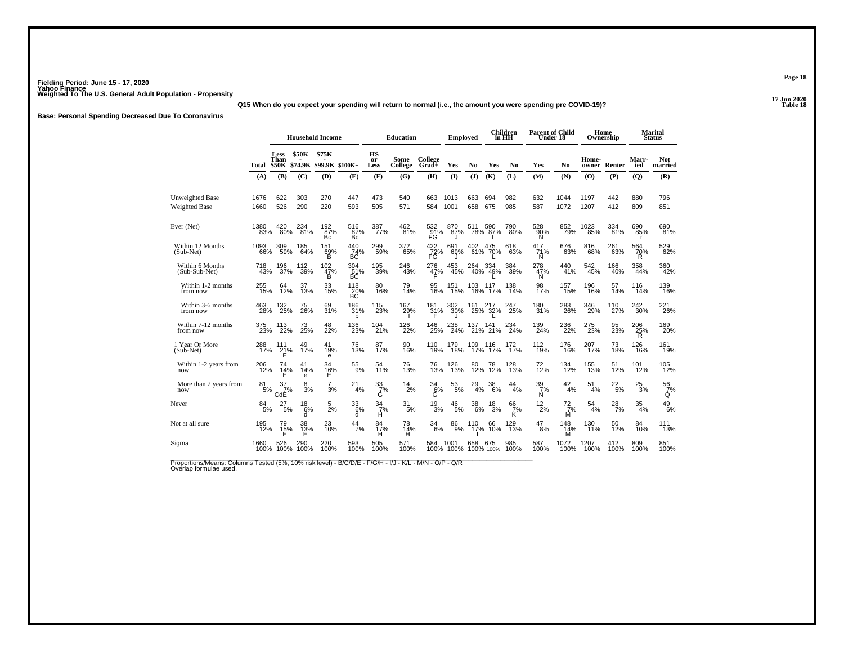## **17 Jun 2020Q15 When do you expect your spending will return to normal (i.e., the amount you were spending pre COVID-19)?**

**Base: Personal Spending Decreased Due To Coronavirus**

|                                                                                                                                  |                  |                                     | <b>Household Income</b> |                                  |                   |                  | <b>Education</b> |                  | <b>Employed</b>   |               |                  | <b>Children</b><br>in HH |                       | <b>Parent of Child</b><br>Under 18 |                | Home<br>Ownership |                     | <b>Marital</b><br><b>Status</b> |
|----------------------------------------------------------------------------------------------------------------------------------|------------------|-------------------------------------|-------------------------|----------------------------------|-------------------|------------------|------------------|------------------|-------------------|---------------|------------------|--------------------------|-----------------------|------------------------------------|----------------|-------------------|---------------------|---------------------------------|
|                                                                                                                                  | Total            | <b>Less</b><br>Than<br><b>\$50K</b> | <b>\$50K</b>            | \$75K<br>\$74.9K \$99.9K \$100K+ |                   | HS<br>or<br>Less | Some<br>College  | College<br>Grad+ | Yes               | No            | Yes              | No                       | Yes                   | No                                 | Home-<br>owner | Renter            | <b>Marr-</b><br>ied | <b>Not</b><br>married           |
|                                                                                                                                  | (A)              | (B)                                 | (C)                     | (D)                              | (E)               | (F)              | (G)              | (H)              | $\mathbf{I}$      | (J)           | (K)              | (L)                      | (M)                   | (N)                                | (O)            | (P)               | $\overline{Q}$      | (R)                             |
| Unweighted Base<br><b>Weighted Base</b>                                                                                          | 1676<br>1660     | 622<br>526                          | 303<br>290              | 270<br>220                       | 447<br>593        | 473<br>505       | 540<br>571       | 663<br>584       | 1013<br>1001      | 663<br>658    | 694<br>675       | 982<br>985               | 632<br>587            | 1044<br>1072                       | 1197<br>1207   | 442<br>412        | 880<br>809          | 796<br>851                      |
| Ever (Net)                                                                                                                       | 1380<br>83%      | 420<br>80%                          | 234<br>81%              | 192<br>87%<br>Bc.                | 516<br>87%<br>Bc. | 387<br>77%       | 462<br>81%       | 532<br>91%<br>FG | 870<br>87%<br>J   | 511           | 590<br>78% 87%   | 790<br>80%               | 528<br>90%<br>N       | 852<br>79%                         | 1023<br>85%    | 334<br>81%        | 690<br>85%<br>г     | 690<br>81%                      |
| Within 12 Months<br>(Sub-Net)                                                                                                    | 1093<br>66%      | 309<br>59%                          | 185<br>64%              | 151<br>69%<br>в                  | 440<br>74%<br>BC  | 299%             | 372<br>65%       | 422<br>72%<br>FG | 691<br>69%        | 402           | 475<br>61% 70%   | 618<br>63%               | 417<br>71%<br>N       | 676<br>63%                         | 816<br>68%     | 261<br>63%        | 564<br>70%<br>R     | 529<br>62%                      |
| Within 6 Months<br>$(Sub-Sub-Net)$                                                                                               | 718<br>43%       | 196<br>37%                          | 112<br>39%              | 102<br>47%<br>B.                 | 304<br>51%<br>BC  | 195<br>39%       | 246<br>43%       | 276<br>47%       | 453<br>45%        | 264           | 334<br>40% 49%   | 384<br>39%               | 278<br>47%<br>N       | 440<br>41%                         | 542<br>45%     | 166<br>40%        | 358<br>44%          | 360<br>42%                      |
| Within 1-2 months<br>from now                                                                                                    | 255<br>15%       | 64<br>12%                           | 37<br>13%               | 33<br>15%                        | 118<br>20%<br>БČ  | 80<br>16%        | 79<br>14%        | 95<br>16%        | 151<br>15%        | 103<br>16%    | 117<br>17%       | 138<br>14%               | 98<br>17%             | 157<br>15%                         | 196<br>16%     | 57<br>14%         | 116<br>14%          | 139<br>16%                      |
| Within 3-6 months<br>from now                                                                                                    | 463<br>28%       | 132<br>25%                          | 75<br>26%               | 69<br>31%                        | 186<br>31%<br>b   | 115<br>23%       | 167<br>29%       | 181<br>31%<br>F  | 302<br>30%        | 161           | 217<br>25% 32%   | 247<br>25%               | 180<br>31%            | 283<br>26%                         | 346<br>29%     | 110<br>27%        | 242<br>30%          | 221<br>26%                      |
| Within 7-12 months<br>from now                                                                                                   | 375<br>23%       | 113<br>22%                          | 73<br>25%               | 48<br>22%                        | 136<br>23%        | 104<br>21%       | 126<br>22%       | 146<br>25%       | 238<br>24%        | 137<br>21%    | 141<br>21%       | 234<br>24%               | 139<br>24%            | 236<br>22%                         | 275<br>23%     | 95<br>23%         | 206<br>25%<br>R     | 169<br>20%                      |
| 1 Year Or More<br>(Sub-Net)                                                                                                      | 288<br>17%       | 111<br>$\frac{21}{5}$               | 49<br>17%               | 41<br>19%<br>e                   | 76<br>13%         | 87<br>17%        | 90<br>16%        | 110<br>19%       | 179<br>18%        | 109           | 116<br>17% 17%   | 172<br>17%               | 112<br>19%            | 176<br>16%                         | 207<br>17%     | 73<br>18%         | 126<br>16%          | 161<br>19%                      |
| Within 1-2 years from<br>now                                                                                                     | 206<br>12%       | 74<br>14%<br>Е                      | 41<br>14%<br>e          | 34<br>16%<br>Е                   | 55<br>9%          | 54<br>11%        | 76<br>13%        | 76<br>13%        | 126<br>13%        | 80<br>12%     | 78<br>12%        | 128<br>13%               | 72<br>12%             | 134<br>12%                         | 155<br>13%     | 51<br>12%         | 101<br>12%          | 105<br>12%                      |
| More than 2 years from<br>now                                                                                                    | $\frac{81}{5\%}$ | $\frac{37}{7}\%$<br>CdE             | 8<br>$\frac{8}{3}$ %    | $\overline{7}$<br>3%             | $^{21}_{4\%}$     | 33/7%<br>G       | $^{14}_{2\%}$    | 34<br>6%<br>G    | 53<br>5%          | $^{29}_{4\%}$ | $^{38}_{\ 6\%}$  | $^{44}_{4\%}$            | $\frac{39}{7}\%$<br>N | $^{42}_{4\%}$                      | 51<br>4%       | $^{22}_{5\%}$     | $^{25}_{3\%}$       | $\frac{56}{7}\%$<br>Q           |
| Never                                                                                                                            | 84<br>5%         | 27<br>5%                            | 18<br>6%<br>d           | 5<br>2%                          | 33<br>6%<br>d     | 34<br>7%<br>н    | 31<br>5%         | 19<br>3%         | 46<br>5%          | 38<br>6%      | 18<br>3%         | 66<br>7%<br>K            | $^{12}_{2\%}$         | $^{72}_{7\%}$<br>M                 | 54<br>4%       | $^{28}_{7\%}$     | 35<br>4%            | 49<br>6%                        |
| Not at all sure                                                                                                                  | 195<br>12%       | 79<br>15%<br>Е                      | 38<br>$\frac{13}{5}$    | 23<br>10%                        | 44<br>7%          | 84<br>17%<br>н   | 78<br>14%<br>н   | 34<br>6%         | 86<br>9%          | 110<br>17%    | 66<br>10%        | 129<br>13%               | 47<br>8%              | 148<br>14%<br>M                    | 130<br>11%     | 50<br>12%         | 84<br>10%           | 111<br>13%                      |
| Sigma                                                                                                                            | 1660<br>100%     | 526<br>100%                         | 290<br>100%             | 220<br>100%                      | 593<br>100%       | 505<br>100%      | 571<br>100%      | 584              | 1001<br>100% 100% | 658           | 675<br>100% 100% | 985<br>100%              | 587<br>100%           | 1072<br>100%                       | 1207<br>100%   | 412<br>100%       | 809<br>100%         | 851<br>100%                     |
| Proportions/Means: Columns Tested (5%, 10% risk level) - B/C/D/E - F/G/H - I/J - K/L - M/N - O/P - Q/R<br>Overlap formulae used. |                  |                                     |                         |                                  |                   |                  |                  |                  |                   |               |                  |                          |                       |                                    |                |                   |                     |                                 |

**Page 18**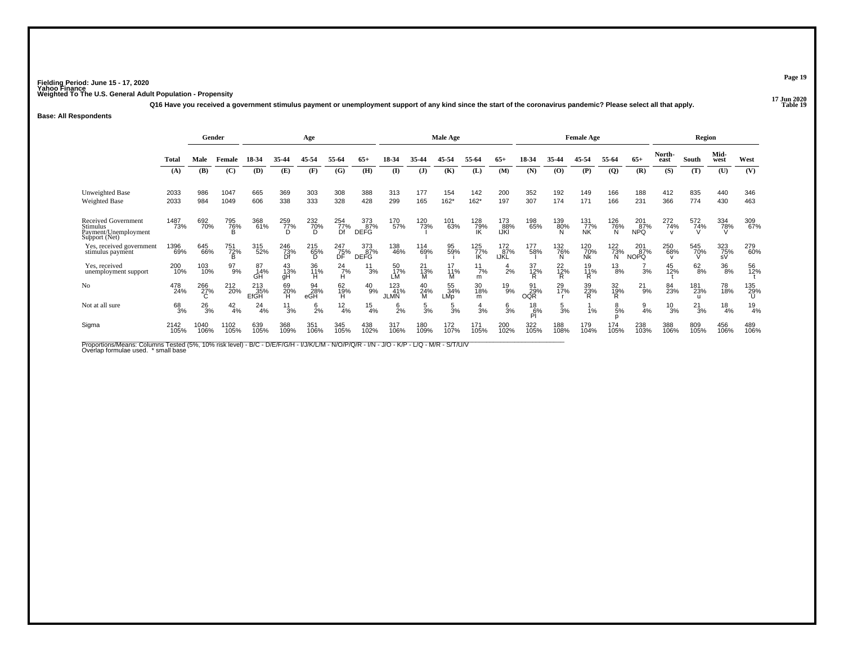**17 Jun 2020Q16 Have you received a government stimulus payment or unemployment support of any kind since the start of the coronavirus pandemic? Please select all that apply.**

### **Base: All Respondents**

|                                                                          |              | Gender       |                 |                    |                  | Age                        |                            |                           |                           |                      | <b>Male Age</b>  |                       |                    |                         |                             | <b>Female Age</b> |                      |                           |                 | Region        |                  |                 |
|--------------------------------------------------------------------------|--------------|--------------|-----------------|--------------------|------------------|----------------------------|----------------------------|---------------------------|---------------------------|----------------------|------------------|-----------------------|--------------------|-------------------------|-----------------------------|-------------------|----------------------|---------------------------|-----------------|---------------|------------------|-----------------|
|                                                                          | <b>Total</b> | Male         | Female          | 18-34              | 35-44            | 45-54                      | 55-64                      | $65+$                     | IX.                       |                      |                  | 55.64                 | 65+                | 18-34                   | 35-44                       | 45-54             | 55-64                | $65+$                     | North-<br>east  | South         | Mid-<br>west     | West            |
|                                                                          | (A)          | (B)          | (C)             | (D)                | Œ                | (F)                        | (G)                        | (H)                       | <b>(I)</b>                | $\mathbf{J}$         | (K)              | (L)                   | (M)                | (N)                     | $\boldsymbol{\mathrm{(O)}}$ | (P)               | (Q)                  | (R)                       | (S)             | (T)           | (U)              | (V)             |
| <b>Unweighted Base</b><br>Weighted Base                                  | 2033<br>2033 | 986<br>984   | 1047<br>1049    | 665<br>606         | 369<br>338       | 303<br>333                 | 308<br>328                 | 388<br>428                | 313<br>299                | 177<br>165           | 154<br>$162*$    | 142<br>$162*$         | 200<br>197         | 352<br>307              | 192<br>174                  | 149<br>171        | 166<br>166           | 188<br>231                | 412<br>366      | 835<br>774    | 440<br>430       | 346<br>463      |
|                                                                          |              |              |                 |                    |                  |                            |                            |                           |                           |                      |                  |                       |                    |                         |                             |                   |                      |                           |                 |               |                  |                 |
| Received Government<br>Stimulus<br>Payment/Unemployment<br>Support (Net) | 1487<br>73%  | 692<br>70%   | 795<br>76%<br>R | 368<br>61%         | 259<br>77%       | 232<br>7 <u>0</u> %        | $\frac{254}{77\%}$         | 373<br>87%<br><b>DEFG</b> | 170<br>57%                | 120<br>73%           | 101<br>63%       | 128<br>79%            | 173<br>88%<br>IJKI | 198<br>65%              | 139<br>80%                  | 131<br>77%<br>NK  | 126<br>76%<br>N      | 201<br>87%<br><b>NPQ</b>  | 272<br>74%      | 572<br>74%    | 334<br>78%       | 309<br>67%      |
| Yes, received government<br>stimulus payment                             | 1396<br>69%  | 645<br>66%   | 751<br>72%<br>B | 315<br>52%         | 246<br>73%<br>Df | 215<br>65%<br><sub>D</sub> | 247<br>75%<br>DF           | 373<br>87%<br><b>DEFG</b> | 138<br>46%                | 114<br>69%           | 95<br>59%        | $^{125}_{77\%}$<br>IK | 172<br>87%<br>IJKL | 177<br>58%              | 132<br>76%<br>N             | 120<br>70%<br>Nk  | $^{122}_{73\%}$<br>N | 201<br>87%<br><b>NOPQ</b> | 250<br>68%      | 545<br>70%    | 323<br>75%<br>sV | 279<br>60%      |
| Yes, received<br>unemployment support                                    | 200<br>10%   | 103<br>10%   | 97<br>9%        | 87<br>14%<br>GH    | 43<br>13%<br>gН  | 36<br>11%<br>н             | $^{24}$ <sub>7%</sub><br>н | 11<br>3%                  | 50<br>17%<br>LM           | 21<br>$\frac{73}{M}$ | 17<br>11%<br>м   | 11<br>7%<br>m         | 2%                 | 37<br>12%               | $^{22}_{12\%}$              | 19<br>11%<br>R    | 13<br>8%             | 3%                        | 45<br>12%       | $^{62}_{8\%}$ | 36<br>8%         | 56<br>12%       |
| N <sub>o</sub>                                                           | 478<br>24%   | 266<br>27%   | 212<br>20%      | 213<br>35%<br>EfGH | 69<br>20%        | 94<br>28%<br>eGH           | 62<br>19%<br>Ĥ             | $^{40}_{9\%}$             | 123<br>41%<br><b>JLMN</b> | 40<br>24%<br>M       | 55<br>34%<br>LMp | 30<br>18%<br>m        | 19<br>9%           | 91<br>29%<br><b>OQR</b> | 29<br>17%                   | 39<br>23%         | 32<br>19%<br>Ŕ       | $^{21}_{9\%}$             | 84<br>23%       | 181<br>23%    | 78<br>18%        | 135<br>29%      |
| Not at all sure                                                          | 68<br>3%     | 26<br>3%     | $^{42}_{4\%}$   | 24<br>4%           | 11<br>3%         | $^{6}_{2\%}$               | $\frac{12}{4%}$            | $\frac{15}{4\%}$          | $\frac{6}{2}$ %           | 5<br>3%              | 5<br>3%          | 3%                    | 6<br>3%            | $^{18}_{6\%}$<br>PI     | $\frac{5}{3\%}$             | 1%                | 8<br>5%              | $\frac{9}{4%}$            | $\frac{10}{3%}$ | $^{21}_{3\%}$ | 18<br>4%         | $\frac{19}{4%}$ |
| Sigma                                                                    | 2142<br>105% | 1040<br>106% | 1102<br>105%    | 639<br>105%        | 368<br>109%      | 351<br>106%                | 345<br>105%                | 438<br>102%               | 317<br>106%               | 180<br>109%          | 172<br>107%      | 171<br>105%           | 200<br>102%        | 322<br>105%             | 188<br>108%                 | 179<br>104%       | 174<br>105%          | 238<br>103%               | 388<br>106%     | 809<br>105%   | 456<br>106%      | 489<br>106%     |

Proportions/Means: Columns Tested (5%, 10% risk level) - B/C - D/E/F/G/H - I/J/K/L/M - N/O/P/Q/R - I/N - J/O - K/P - L/Q - M/R - S/T/U/V<br>Overlap formulae used. \*small base

**Page 19**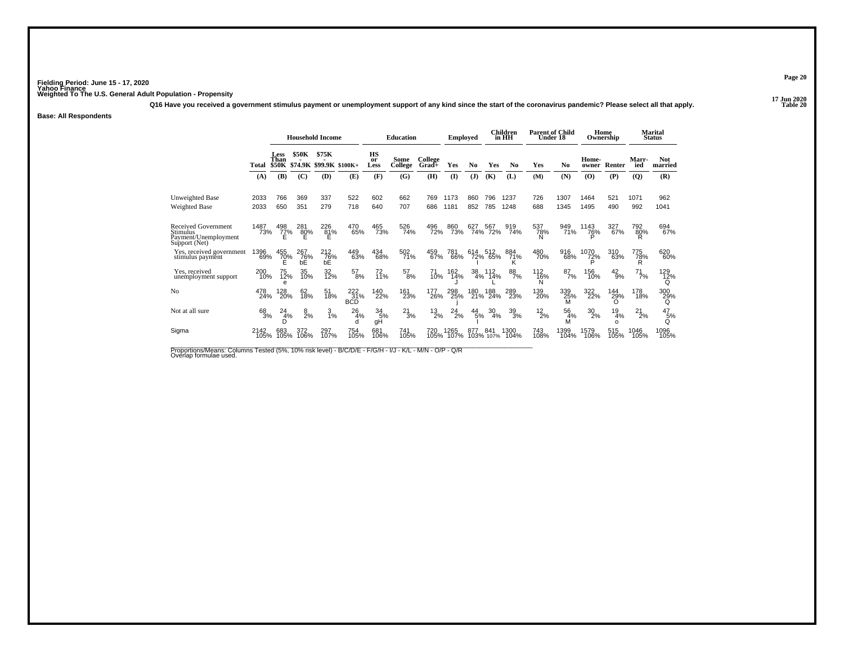**17 Jun 2020Q16 Have you received a government stimulus payment or unemployment support of any kind since the start of the coronavirus pandemic? Please select all that apply.**

### **Base: All Respondents**

|                                                                          |              | <b>Household Income</b>             |                  |                          |                          |                  | <b>Education</b> |                    | <b>Employed</b> |                  |                    | Children<br>in HH | <b>Parent of Child</b><br>Under 18 |                 |                  | Home<br>Ownership    |                 | <b>Marital</b><br><b>Status</b> |
|--------------------------------------------------------------------------|--------------|-------------------------------------|------------------|--------------------------|--------------------------|------------------|------------------|--------------------|-----------------|------------------|--------------------|-------------------|------------------------------------|-----------------|------------------|----------------------|-----------------|---------------------------------|
|                                                                          | Total        | <b>Less</b><br>Than<br><b>\$50K</b> | <b>\$50K</b>     | \$75K<br>\$74.9K \$99.9K | $$100K+$                 | HS<br>or<br>Less | Some<br>College  | College<br>$Grad+$ | Yes             | No               | Yes                | N <sub>0</sub>    | Yes                                | N <sub>0</sub>  | Home-<br>owner   | Renter               | Marr-<br>ied    | <b>Not</b><br>married           |
|                                                                          | (A)          | (B)                                 | (C)              | (D)                      | (E)                      | (F)              | (G)              | (H)                | $($ $\Gamma$    | (J)              | (K)                | (L)               | (M)                                | (N)             | (0)              | (P)                  | (Q)             | (R)                             |
| Unweighted Base<br><b>Weighted Base</b>                                  | 2033<br>2033 | 766<br>650                          | 369<br>351       | 337<br>279               | 522<br>718               | 602<br>640       | 662<br>707       | 769<br>686         | 1173<br>1181    | 860<br>852       | 796<br>785         | 1237<br>1248      | 726<br>688                         | 1307<br>1345    | 1464<br>1495     | 521<br>490           | 1071<br>992     | 962<br>1041                     |
|                                                                          |              |                                     |                  |                          |                          |                  |                  |                    |                 |                  |                    |                   |                                    |                 |                  |                      |                 |                                 |
| Received Government<br>Stimulus<br>Payment/Unemployment<br>Support (Net) | 1487<br>73%  | 498<br>77%                          | 281<br>80%<br>E  | 226<br>81%<br>Е          | 470<br>65%               | 465<br>73%       | 526<br>74%       | 496<br>72%         | 860<br>73%      | 627              | 567<br>74% 72%     | 919<br>74%        | 537<br>78%<br>N                    | 949<br>71%      | 1143<br>76%      | 327<br>67%           | 792<br>80%      | 694<br>67%                      |
| Yes, received government<br>stimulus payment                             | 1396<br>69%  | 455<br>70%<br>Е                     | 267<br>76%<br>bĚ | 212<br>76%<br>bĚ         | 449<br>63%               | 434<br>68%       | 502<br>71%       | 459<br>67%         | 781<br>66%      | 614              | i14 512<br>72% 65% | 884<br>71%<br>ĸ   | 480<br>70%                         | 916<br>68%      | 1070<br>72%<br>D | 310<br>63%           | 775<br>78%<br>R | 620<br>60%                      |
| Yes, received<br>unemployment support                                    | 200<br>10%   | 75<br>12%<br>e                      | 35<br>10%        | 32<br>12%                | 57<br>8%                 | 72<br>11%        | $^{57}_{\ 8\%}$  | 71<br>10%          | 162<br>14%      | $\frac{38}{4\%}$ | 112<br>14%         | $\frac{88}{7%}$   | $^{112}_{16\%}$<br>N               | $^{87}_{7\%}$   | 156<br>10%       | $^{42}_{9\%}$        | $^{71}_{7\%}$   | 129<br>12%<br>Q                 |
| No                                                                       | 478<br>24%   | 128<br>20%                          | 62<br>18%        | 51<br>18%                | 222<br>31%<br><b>BCD</b> | 140<br>22%       | 161<br>23%       | 177<br>26%         | 298<br>25%      | 180<br>21%       | 188<br>24%         | 289<br>23%        | 139<br>20%                         | 339<br>25%<br>M | 322<br>22%       | 144<br>29%           | 178<br>18%      | 300<br>29%                      |
| Not at all sure                                                          | 68<br>3%     | 24<br>4%<br>D                       | 8<br>2%          | 3<br>1%                  | 26<br>4%<br>d            | 34<br>5%<br>gH   | 21<br>3%         | $^{13}_{2\%}$      | 24<br>2%        | $^{44}_{5\%}$    | 30<br>4%           | $\frac{39}{3%}$   | $^{12}_{2\%}$                      | 56<br>4%<br>M   | $^{30}_{2\%}$    | 19<br>4%<br>$\Omega$ | 21<br>2%        | 47<br>5%<br>Q                   |
| Sigma                                                                    | 2142<br>105% | 683<br>105%                         | 372<br>106%      | 297<br>107%              | 754<br>105%              | 681<br>106%      | 741<br>105%      | 720<br>105%        | 1265<br>107%    | 877              | 841<br>103% 107%   | 1300<br>104%      | 743<br>108%                        | 1399<br>104%    | 1579<br>106%     | 515<br>105%          | 1046<br>105%    | 1096<br>105%                    |

Proportions/Means: Columns Tested (5%, 10% risk level) - B/C/D/E - F/G/H - I/J - K/L - M/N - O/P - Q/R<br>Overlap formulae used.

**Page 20**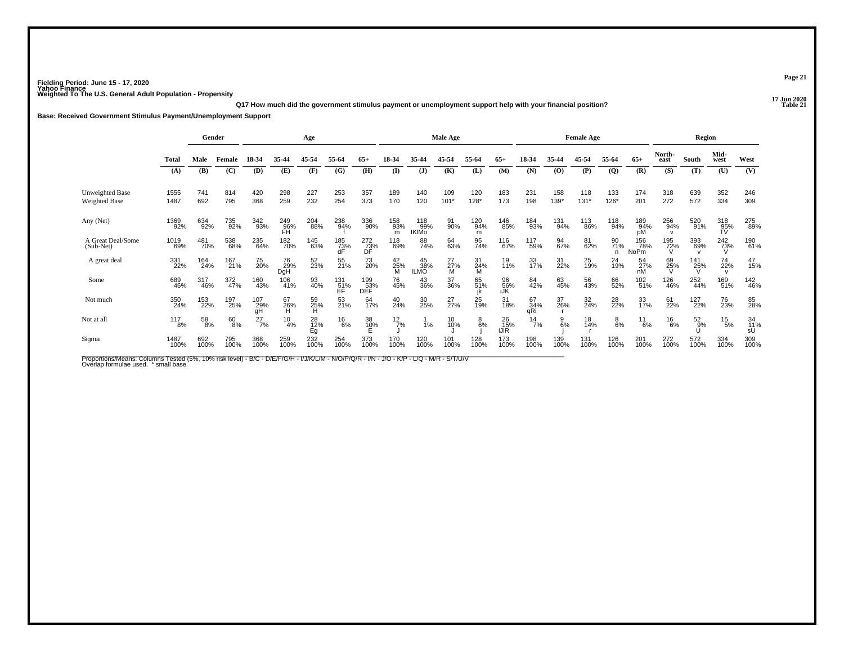**17 Jun 2020Q17 How much did the government stimulus payment or unemployment support help with your financial position?**

**Base: Received Government Stimulus Payment/Unemployment Support**

|                                |              |                 | Gender<br>Age |                  |                  |                 |                          |                   |                     | Male Age                   |                  |                 |                   |                  | <b>Female Age</b> |                 |                 |                    | Region         |                 |                  |                 |
|--------------------------------|--------------|-----------------|---------------|------------------|------------------|-----------------|--------------------------|-------------------|---------------------|----------------------------|------------------|-----------------|-------------------|------------------|-------------------|-----------------|-----------------|--------------------|----------------|-----------------|------------------|-----------------|
|                                | Total        | Male            | Female        | 18-34            | 35-44            | 45-54           | 55-64                    | $65+$             | 18-34               | 35-44                      | 45-54            | 55-64           | $65+$             | 18-34            | 35-44             | 45-54           | 55-64           | $65+$              | North-<br>east | South           | Mid-<br>west     | West            |
|                                | (A)          | <b>(B)</b>      | (C)           | (D)              | (E)              | (F)             | (G)                      | (H)               | (I)                 | $\mathbf{J}$               | (K)              | (L)             | (M)               | (N)              | (0)               | (P)             | $\overline{Q}$  | (R)                | (S)            | (T)             | (U)              | (V)             |
| Unweighted Base                | 1555         | 741             | 814           | 420              | 298              | 227             | 253                      | 357               | 189                 | 140                        | 109              | 120             | 183               | 231              | 158               | 118             | 133             | 174                | 318            | 639             | 352              | 246             |
| Weighted Base                  | 1487         | 692             | 795           | 368              | 259              | 232             | 254                      | 373               | 170                 | 120                        | $101*$           | $128*$          | 173               | 198              | 139*              | $131*$          | $126*$          | 201                | 272            | 572             | 334              | 309             |
| Any (Net)                      | 1369<br>92%  | 634<br>92%      | 735<br>92%    | 342<br>93%       | 249<br>96%<br>FH | 204<br>88%      | 238<br>94%               | 336<br>90%        | 158<br>93%<br>m     | 118<br>99%<br><b>IKIMO</b> | 91<br>90%        | 120<br>94%<br>m | 146<br>85%        | 184<br>93%       | 131%              | 113<br>86%      | 118<br>94%      | 189<br>94%<br>pM   | 256<br>94%     | 520<br>91%      | 318<br>95%<br>TV | 275<br>89%      |
| A Great Deal/Some<br>(Sub-Net) | 1019<br>69%  | 481<br>70%      | 538<br>68%    | 235<br>64%       | 182<br>70%       | 145<br>63%      | 185<br>73%<br>dF         | 272<br>73%<br>DF  | 118<br>69%          | 88<br>74%                  | 64<br>63%        | 95<br>74%       | 116<br>67%        | 117<br>59%       | 94<br>67%         | 81<br>62%       | 90<br>71%<br>n  | 156<br>78%<br>NoPm | 195<br>72%     | 393<br>69%      | $^{242}_{73\%}$  | 190<br>61%      |
| A great deal                   | 331<br>22%   | 164<br>24%      | 167<br>21%    | 75<br>20%        | 76<br>29%<br>DgH | 52<br>23%       | 55<br>21%                | 73<br>20%         | $^{42}_{25\%}$<br>M | 45<br>38%<br>ILMO          | $^{27}_{27\%}$ M | 31<br>24%<br>M  | 19<br>11%         | 33<br>17%        | 31<br>22%         | 25<br>19%       | 24<br>19%       | 54<br>27%<br>nM    | 69<br>25%      | 141<br>25%<br>V | 74<br>22%        | 47<br>15%       |
| Some                           | 689<br>46%   | 317<br>46%      | 372<br>47%    | 160<br>43%       | 106<br>41%       | 93<br>40%       | $\frac{131}{51\%}$<br>ÉF | 199<br>53%<br>DÉF | 76<br>45%           | 43<br>36%                  | 37<br>36%        | 65<br>51%       | 96<br>56%<br>iJK  | 84<br>42%        | 63<br>45%         | 56<br>43%       | 66<br>52%       | 102<br>51%         | 126<br>46%     | 252<br>44%      | 169<br>51%       | 142<br>46%      |
| Not much                       | 350<br>24%   | 153<br>22%      | 197<br>25%    | 107<br>29%<br>gH | 67<br>26%        | 59<br>25%<br>H  | 53<br>21%                | 64<br>17%         | 40<br>24%           | 30<br>25%                  | 27 <sub>%</sub>  | 25<br>19%       | 31<br>18%         | 67<br>34%<br>aŘi | 37<br>26%         | 32 <sub>%</sub> | 28 <sub>%</sub> | $\frac{33}{17\%}$  | 61<br>22%      | 127<br>22%      | 76<br>23%        | 85<br>28%       |
| Not at all                     | 117<br>8%    | $^{58}_{\ 8\%}$ | 60<br>8%      | $^{27}_{7\%}$    | $^{10}_{4\%}$    | 28<br>12%<br>Eg | $^{16}_{6\%}$            | 38<br>10%<br>E    | $^{12}$ 7%          | 1%                         | 10<br>10%        | $8\over 6%$     | 26<br>15%<br>jJIR | $^{14}$ 7%       | $\frac{9}{6\%}$   | 18<br>14%       | $_{6\%}^8$      | $^{11}_{6\%}$      | $^{16}_{6\%}$  | $^{52}_{.9\%}$  | $^{15}_{\ 5\%}$  | 34<br>11%<br>sU |
| Sigma                          | 1487<br>100% | 692<br>100%     | 795<br>100%   | 368<br>100%      | 259<br>100%      | 232<br>100%     | 254<br>100%              | 373<br>100%       | 170<br>100%         | 120<br>100%                | 101<br>100%      | 128<br>100%     | 173<br>100%       | 198<br>100%      | 139<br>100%       | 131<br>100%     | 126<br>100%     | 201<br>100%        | 272<br>100%    | 572<br>100%     | 334<br>100%      | 309<br>100%     |

Proportions/Means: Columns Tested (5%, 10% risk level) - B/C - D/E/F/G/H - I/J/K/L/M - N/O/P/Q/R - I/N - J/O - K/P - L/Q - M/R - S/T/U/V<br>Overlap formulae used. \*small base

**Page 21**

**P Table 21**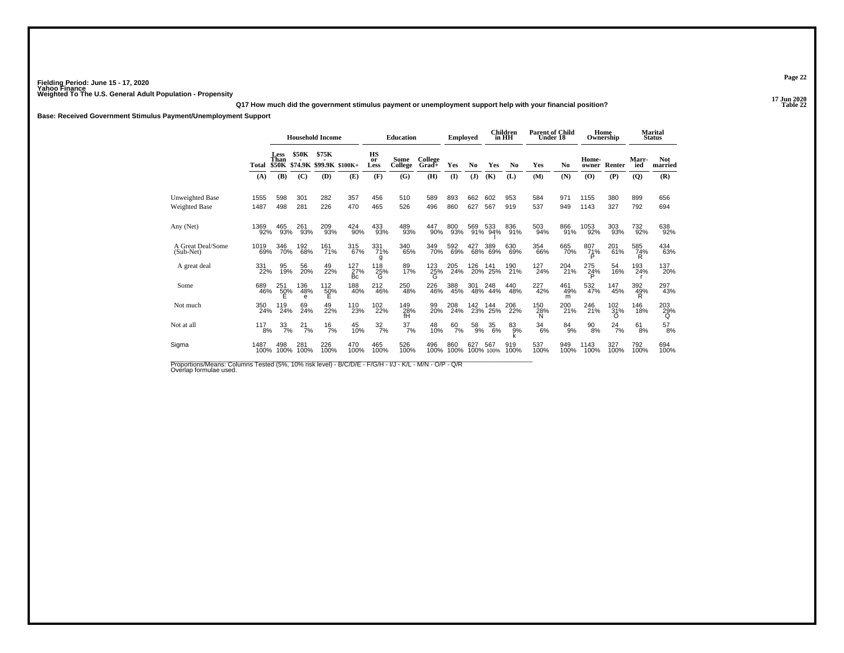**17 Jun 2020Q17 How much did the government stimulus payment or unemployment support help with your financial position?**

**Base: Received Government Stimulus Payment/Unemployment Support**

|                                  |              | <b>Household Income</b> |                 |                                        |                  | <b>Education</b>              |                  | <b>Employed</b>       |               |               | <b>Children</b><br>in HH | <b>Parent of Child</b><br>Under 18 |                  |                 | Home<br>Ownership |                       | <b>Marital</b><br><b>Status</b> |                       |
|----------------------------------|--------------|-------------------------|-----------------|----------------------------------------|------------------|-------------------------------|------------------|-----------------------|---------------|---------------|--------------------------|------------------------------------|------------------|-----------------|-------------------|-----------------------|---------------------------------|-----------------------|
|                                  | Total        | Less<br>Than            | <b>\$50K</b>    | \$75K<br>\$50K \$74.9K \$99.9K \$100K+ |                  | HS<br>or<br>Less              | Some<br>College  | College<br>Grad+      | Yes           | No            | Yes                      | N <sub>0</sub>                     | Yes              | No              | Home-<br>owner    | Renter                | Marr-<br>ied                    | <b>Not</b><br>married |
|                                  | (A)          | (B)                     | (C)             | (D)                                    | (E)              | (F)                           | (G)              | (H)                   | $\mathbf{I}$  | (J)           | (K)                      | (L)                                | (M)              | (N)             | (0)               | (P)                   | (Q)                             | (R)                   |
| Unweighted Base<br>Weighted Base | 1555<br>1487 | 598<br>498              | 301<br>281      | 282<br>226                             | 357<br>470       | 456<br>465                    | 510<br>526       | 589<br>496            | 893<br>860    | 662<br>627    | 602<br>567               | 953<br>919                         | 584<br>537       | 971<br>949      | 1155<br>1143      | 380<br>327            | 899<br>792                      | 656<br>694            |
| Any (Net)                        | 1369<br>92%  | 465<br>93%              | 261<br>93%      | 209<br>93%                             | 424<br>90%       | 433<br>93%                    | 489<br>93%       | 447<br>90%            | 800<br>93%    | 569           | 533<br>91% 94%           | 836<br>91%                         | 503<br>94%       | 866<br>91%      | 1053<br>92%       | 303<br>93%            | 732<br>92%                      | 638<br>92%            |
| A Great Deal/Some<br>$(Sub-Net)$ | 1019<br>69%  | 346<br>70%              | 192<br>68%      | 161%                                   | 315<br>67%       | 331<br>71%<br>g               | 340<br>65%       | 349<br>70%            | 592<br>69%    |               | 427 389<br>68% 69%       | 630<br>69%                         | 354<br>66%       | 665<br>70%      | 807<br>71%<br>Þ   | 201 <sub>%</sub>      | 585<br>74%                      | 434<br>63%            |
| A great deal                     | 331<br>22%   | 95<br>19%               | 56<br>20%       | 49<br>22%                              | 127<br>27%<br>Бc | 118<br>${}^{25\%}_{\text{G}}$ | 89<br>17%        | 123<br>$\frac{25}{9}$ | 205<br>24%    | 126<br>20%    | 141<br>25%               | 190<br>21%                         | $^{127}_{24\%}$  | 204<br>21%      | 275<br>24%        | 54<br>16%             | 193<br>24%                      | 137<br>20%            |
| Some                             | 689<br>46%   | 251<br>50%              | 136<br>48%<br>e | 112<br>50%<br>Е                        | 188<br>40%       | 212<br>46%                    | 250<br>48%       | 226<br>46%            | 388<br>45%    | 301           | 248<br>48% 44%           | 440<br>48%                         | 227<br>42%       | 461<br>49%<br>m | 532<br>47%        | 147<br>45%            | 392<br>49%<br>R                 | 297<br>43%            |
| Not much                         | 350<br>24%   | 119<br>24%              | 69<br>24%       | 49<br>22%                              | 110<br>23%       | 102<br>22%                    | 149<br>28%<br>fH | 99<br>20%             | 208<br>24%    | 142           | 144<br>23% 25%           | 206<br>22%                         | 150<br>28%<br>N  | 200<br>21%      | 246<br>21%        | 102<br>31%<br>O       | 146<br>18%                      | 203<br>29%<br>Q       |
| Not at all                       | 117<br>8%    | $\frac{33}{7\%}$        | $^{21}_{7\%}$   | $\frac{16}{7%}$                        | 45<br>10%        | $\frac{32}{7}\%$              | $\frac{37}{7\%}$ | 48<br>10%             | $^{60}_{7\%}$ | $^{58}_{9\%}$ | $\frac{35}{6\%}$         | $83\%$                             | $\frac{34}{6\%}$ | $84_{9\%}$      | $^{90}_{8\%}$     | $^{24}$ <sup>7%</sup> | 61<br>8%                        | $^{57}_{\ 8\%}$       |
| Sigma                            | 1487<br>100% | 498<br>100%             | 281<br>100%     | 226<br>100%                            | 470<br>100%      | 465<br>100%                   | 526<br>100%      | 496<br>100%           | 860<br>100%   | 627           | 567<br>100% 100%         | 919<br>100%                        | 537<br>100%      | 949<br>100%     | 1143<br>100%      | 327<br>100%           | 792<br>100%                     | 694<br>100%           |

Proportions/Means: Columns Tested (5%, 10% risk level) - B/C/D/E - F/G/H - I/J - K/L - M/N - O/P - Q/R<br>Overlap formulae used.

**Page 22**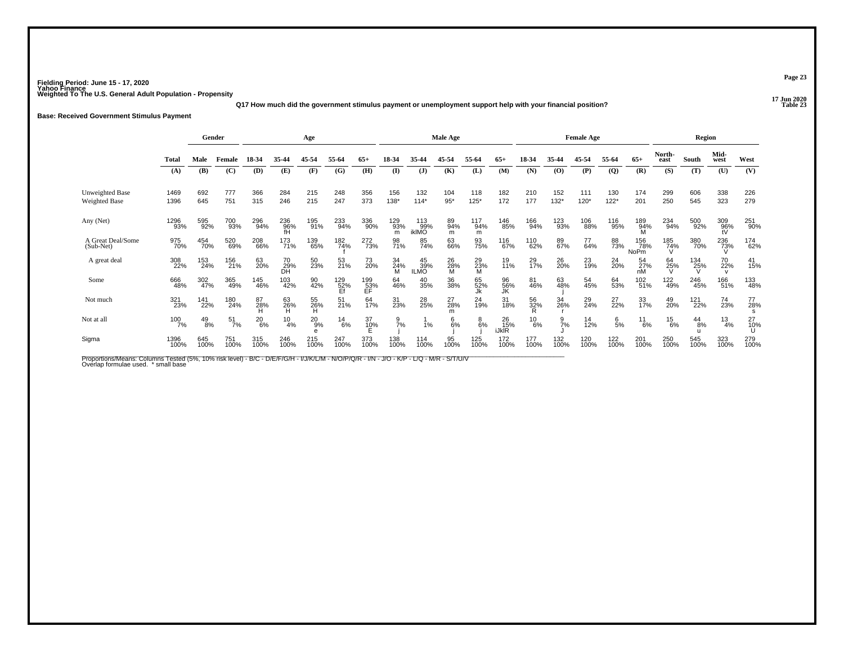**17 Jun 2020Q17 How much did the government stimulus payment or unemployment support help with your financial position?**

### **Base: Received Government Stimulus Payment**

|                                  |              |               | Gender           | Age           |                 |                          |                  |                  |                 | <b>Male Age</b>     |                |                  |                    |                | <b>Female Age</b> |             |                |                      | Region         |               |                       |                |
|----------------------------------|--------------|---------------|------------------|---------------|-----------------|--------------------------|------------------|------------------|-----------------|---------------------|----------------|------------------|--------------------|----------------|-------------------|-------------|----------------|----------------------|----------------|---------------|-----------------------|----------------|
|                                  | <b>Total</b> | Male          | Female           | 18-34         | 35-44           | 45-54                    | 55-64            | $65+$            | 18-34           | 35.44               | 45-54          | 55-64            | $65+$              | 18-34          | 35-44             | 45-54       | 55-64          | $65+$                | North-<br>east | South         | Mid-<br>west          | West           |
|                                  | (A)          | (B)           | (C)              | (D)           | (E)             | (F)                      | (G)              | (H)              | $\mathbf{I}$    | $($ $\bf{J}$        | (K)            | (L)              | (M)                | (N)            | (O)               | (P)         | $\overline{Q}$ | (R)                  | (S)            | (T)           | (U)                   | (V)            |
| <b>Unweighted Base</b>           | 1469         | 692           | 777              | 366           | 284             | 215                      | 248              | 356              | 156             | 132                 | 104            | 118              | 182                | 210            | 152               | 111         | 130            | 174                  | 299            | 606           | 338                   | 226            |
| Weighted Base                    | 1396         | 645           | 751              | 315           | 246             | 215                      | 247              | 373              | $138*$          | $114*$              | $95*$          | $125*$           | 172                | 177            | $132*$            | 120*        | $122*$         | 201                  | 250            | 545           | 323                   | 279            |
| Any (Net)                        | 1296<br>93%  | 595<br>92%    | 700<br>93%       | 296<br>94%    | 236<br>96%      | 195<br>91%               | 233<br>94%       | 336<br>90%       | 129<br>93%<br>m | 113<br>99%<br>ikIMO | 89<br>94%<br>m | 117<br>94%<br>m  | 146<br>85%         | 166<br>94%     | 123<br>93%        | 106<br>88%  | 116<br>95%     | 189<br>94%           | 234<br>94%     | 500<br>92%    | $\frac{309}{96\%}$ tV | 251<br>90%     |
| A Great Deal/Some<br>$(Sub-Net)$ | 975<br>70%   | 454<br>70%    | 520<br>69%       | 208<br>66%    | 173<br>71%      | 139<br>65%               | 182<br>74%       | 272<br>73%       | 98<br>71%       | 85<br>74%           | 63<br>66%      | 93<br>75%        | 116<br>67%         | 110<br>62%     | 89<br>67%         | 77<br>64%   | 88<br>73%      | 156<br>78%<br>NoPm   | 185<br>74%     | 380<br>70%    | 236<br>73%            | 174<br>62%     |
| A great deal                     | 308<br>22%   | 153<br>24%    | 156<br>21%       | 63<br>20%     | 70<br>29%<br>DH | 50<br>23%                | 53<br>21%        | 73<br>20%        | 34<br>24%<br>M  | $^{45}_{39\%}$      | 26<br>28%<br>M | $^{29}_{23\%}$ M | 19<br>11%          | 29<br>17%      | 26<br>20%         | 23<br>19%   | 24<br>20%      | $\frac{54}{27\%}$ nM | 64<br>25%      | 134<br>25%    | 70<br>22%             | 41<br>15%      |
| Some                             | 666<br>48%   | 302<br>47%    | 365<br>49%       | 145<br>46%    | 103<br>42%      | 90<br>42%                | 129<br>52%<br>Ef | 199<br>53%<br>EF | 64<br>46%       | 40<br>35%           | 36<br>38%      | 65<br>52%        | 96<br>56%<br>JK    | 81<br>46%      | 63<br>48%         | 54<br>45%   | 64<br>53%      | 102<br>51%           | 122<br>49%     | 246<br>45%    | 166<br>51%            | 133<br>48%     |
| Not much                         | 321<br>23%   | 141<br>22%    | 180<br>24%       | 87<br>28%     | 63<br>26%<br>H  | 55<br>26%<br>H           | $^{51}_{21\%}$   | 64<br>17%        | 31<br>23%       | 28<br>25%           | 27<br>28%      | 24<br>19%        | 31<br>18%          | 56<br>32%<br>R | 34<br>26%         | 29<br>24%   | 27<br>22%      | 33<br>17%            | 49<br>20%      | 121<br>22%    | 74<br>23%             | 77<br>28%<br>s |
| Not at all                       | 100<br>7%    | $^{49}_{8\%}$ | $\frac{51}{7\%}$ | $^{20}_{6\%}$ | $^{10}_{4\%}$   | $^{20}_{9%}$<br>$\theta$ | $^{14}_{6\%}$    | 37<br>10%<br>E   | $\frac{9}{7}$ % | 1%                  | 6<br>6%        | $_{6\%}^8$       | 26<br>15%<br>iJklR | $^{10}_{6\%}$  | $\frac{9}{7\%}$   | 14<br>12%   | 6/5%           | $^{11}_{6\%}$        | $^{15}_{6\%}$  | $^{44}_{8\%}$ | $\frac{13}{4\%}$      | 27<br>10%      |
| Sigma                            | 1396<br>100% | 645<br>100%   | 751<br>100%      | 315<br>100%   | 246<br>100%     | 215<br>100%              | 247<br>100%      | 373<br>100%      | 138<br>100%     | 114<br>100%         | 95<br>100%     | 125<br>100%      | 172<br>100%        | 177<br>100%    | 132<br>100%       | 120<br>100% | 122<br>100%    | 201<br>100%          | 250<br>100%    | 545<br>100%   | 323<br>100%           | 279<br>100%    |

Proportions/Means: Columns Tested (5%, 10% risk level) - B/C - D/E/F/G/H - I/J/K/L/M - N/O/P/Q/R - I/N - J/O - K/P - L/Q - M/R - S/T/U/V<br>Overlap formulae used. \*small base

**Page 23**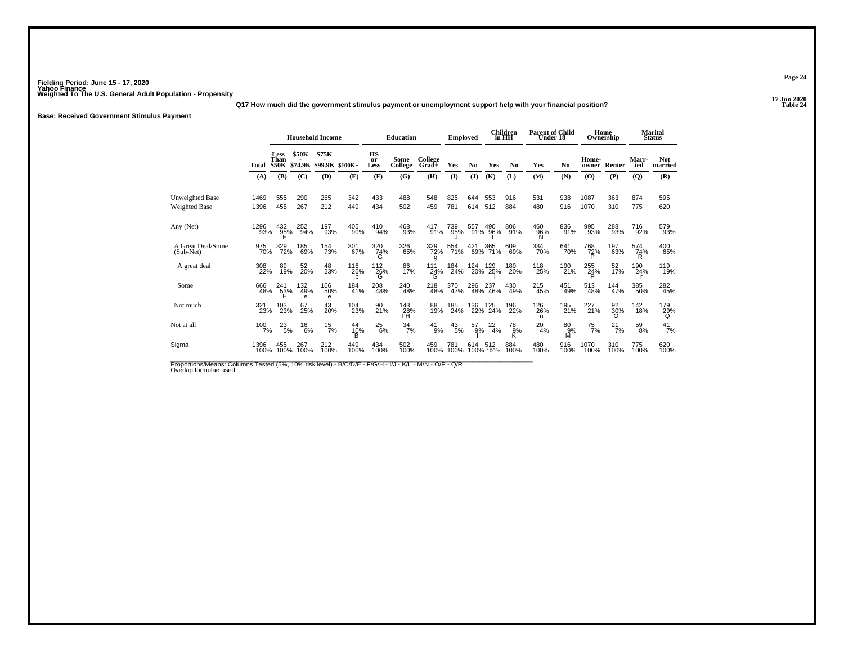**17 Jun 2020Q17 How much did the government stimulus payment or unemployment support help with your financial position?**

**Base: Received Government Stimulus Payment**

|                                         |              | <b>Household Income</b> |                 |                                        |                |                       | <b>Education</b> |                             | <b>Employed</b> |            |                    | <b>Children</b><br>in HH | <b>Parent of Child</b><br>Under 18 |                    | Home<br>Ownership                        |                |              | Marital<br><b>Status</b> |
|-----------------------------------------|--------------|-------------------------|-----------------|----------------------------------------|----------------|-----------------------|------------------|-----------------------------|-----------------|------------|--------------------|--------------------------|------------------------------------|--------------------|------------------------------------------|----------------|--------------|--------------------------|
|                                         | Total        | <b>Less</b><br>Than     | \$50K           | \$75K<br>\$50K \$74.9K \$99.9K \$100K+ |                | HS<br>or<br>Less      | Some<br>College  | College<br>Grad+            | Yes             | No         | <b>Yes</b>         | N <sub>0</sub>           | Yes                                | No                 | Home-<br>owner                           | Renter         | Marr-<br>ied | <b>Not</b><br>married    |
|                                         | (A)          | (B)                     | (C)             | (D)                                    | (E)            | (F)                   | (G)              | (H)                         | $\mathbf{I}$    | (J)        | (K)                | (L)                      | (M)                                | (N)                | $\boldsymbol{\left( \mathbf{O} \right)}$ | (P)            | (Q)          | (R)                      |
| Unweighted Base<br><b>Weighted Base</b> | 1469<br>1396 | 555<br>455              | 290<br>267      | 265<br>212                             | 342<br>449     | 433<br>434            | 488<br>502       | 548<br>459                  | 825<br>781      | 644<br>614 | 553<br>512         | 916<br>884               | 531<br>480                         | 938<br>916         | 1087<br>1070                             | 363<br>310     | 874<br>775   | 595<br>620               |
| Any (Net)                               | 1296<br>93%  | 432<br>95%              | 252<br>94%      | 197<br>93%                             | 405<br>90%     | 410<br>94%            | 468<br>93%       | 417<br>91%                  | 739<br>95%      | 557<br>91% | 490<br>96%         | 806<br>91%               | 460<br>96%<br>N                    | 836<br>91%         | 995<br>93%                               | 288<br>93%     | 716<br>92%   | 579<br>93%               |
| A Great Deal/Some<br>$(Sub-Net)$        | 975<br>70%   | 329<br>72%              | 185<br>69%      | <sup>154</sup> 73%                     | 301<br>67%     | 320<br>74%<br>G       | 326<br>65%       | 329<br>72%<br>g             | 554<br>71%      |            | 421 365<br>69% 71% | 609<br>69%               | 334<br>70%                         | 641<br>70%         | 768<br>72%                               | 197<br>63%     | 574<br>74%   | 400<br>65%               |
| A great deal                            | 308<br>22%   | 89<br>19%               | 52<br>20%       | 48<br>23%                              | 116<br>26%     | 112<br>$^{26}_{-6}$ % | 86<br>17%        | 111<br>$^{24\%}_{\text{G}}$ | 184<br>24%      | 124<br>20% | 129<br>25%         | 180<br>20%               | 118<br>25%                         | 190<br>21%         | 255<br>24%                               | 52<br>17%      | 190<br>24%   | 119<br>19%               |
| Some                                    | 666<br>48%   | 241<br>53%              | 132<br>49%<br>e | 106<br>50%<br>e                        | 184<br>41%     | 208<br>48%            | 240<br>48%       | 218<br>48%                  | 370<br>47%      | 296        | 237<br>48% 46%     | 430<br>49%               | 215<br>45%                         | 451<br>49%         | 513<br>48%                               | 144<br>47%     | 385<br>50%   | 282<br>45%               |
| Not much                                | 321<br>23%   | 103<br>23%              | 67<br>25%       | 43<br>20%                              | 104<br>23%     | 90<br>21%             | 143<br>28%<br>FĤ | 88<br>19%                   | 185<br>24%      | 136<br>22% | 125<br>24%         | 196<br>22%               | 126<br>26%<br>n                    | 195<br>21%         | 227<br>21%                               | 92<br>30%<br>O | 142<br>18%   | 179<br>29%               |
| Not at all                              | $100$ $7%$   | $^{23}_{5\%}$           | $^{16}_{6\%}$   | $^{15}_{7\%}$                          | 44<br>10%<br>в | $^{25}_{6\%}$         | $\frac{34}{7\%}$ | $^{41}_{9\%}$               | $^{43}_{\ 5\%}$ | 57<br>9%   | $^{22}_{4\%}$      | 78<br>$\bar{9}$ %        | $^{20}_{4\%}$                      | $^{80}_{9\%}$<br>м | $^{75}_{7\%}$                            | $^{21}_{7\%}$  | 59<br>8%     | $^{41}_{7\%}$            |
| Sigma                                   | 1396<br>100% | 455<br>100%             | 267<br>100%     | 212<br>100%                            | 449<br>100%    | 434<br>100%           | 502<br>100%      | 459<br>100%                 | 781<br>100%     | 614        | 512<br>100% 100%   | 884<br>100%              | 480<br>100%                        | 916<br>100%        | 1070<br>100%                             | 310<br>100%    | 775<br>100%  | 620<br>100%              |

Proportions/Means: Columns Tested (5%, 10% risk level) - B/C/D/E - F/G/H - I/J - K/L - M/N - O/P - Q/R<br>Overlap formulae used.

**Page 24**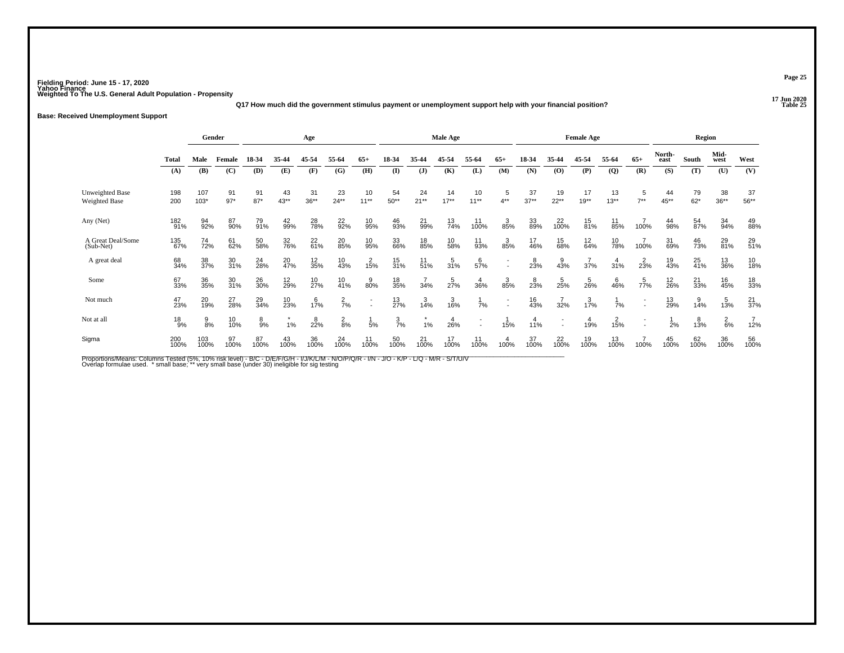**17 Jun 2020Q17 How much did the government stimulus payment or unemployment support help with your financial position?**

### **Base: Received Unemployment Support**

|                                         |              | Gender          |                 | Age         |            |                   |                  | <b>Male Age</b>    |                 |                  |                  |                    | <b>Female Age</b>        |               |                                |                   |                | Region         |                |             |                 |                   |
|-----------------------------------------|--------------|-----------------|-----------------|-------------|------------|-------------------|------------------|--------------------|-----------------|------------------|------------------|--------------------|--------------------------|---------------|--------------------------------|-------------------|----------------|----------------|----------------|-------------|-----------------|-------------------|
|                                         | <b>Total</b> | Male            | Female          | 18-34       | 35-44      | 45-54             | 55-64            | $65+$              | 18-34           | 35.44            | 45-54            | 55-64              | $65+$                    | 18-34         | 35-44                          | 45-54             | 55-64          | $65+$          | North-<br>east | South       | Mid-<br>west    | West              |
|                                         | (A)          | (B)             | (C)             | (D)         | (E)        | (F)               | (G)              | (H)                | (I)             | $\mathbf{J}$     | (K)              | (L)                | (M)                      | (N)           | (O)                            | (P)               | $\overline{Q}$ | (R)            | (S)            | (T)         | (U)             | (V)               |
| <b>Unweighted Base</b><br>Weighted Base | 198<br>200   | 107<br>$103*$   | 91<br>$97*$     | 91<br>$87*$ | 43<br>43** | 31<br>$36**$      | 23<br>$24**$     | 10<br>$11***$      | 54<br>$50**$    | 24<br>$21**$     | 14<br>$17**$     | 10<br>$11***$      | 5<br>$4**$               | 37<br>$37**$  | 19<br>$22**$                   | 17<br>$19**$      | 13<br>$13***$  | 5<br>$7**$     | 44<br>$45***$  | 79<br>$62*$ | 38<br>$36**$    | 37<br>$56***$     |
| Any (Net)                               | 182<br>91%   | 94<br>92%       | 87<br>90%       | 79<br>91%   | 42<br>99%  | 28 <sub>%</sub>   | $^{22}_{92\%}$   | 10<br>95%          | 46<br>93%       | 21<br>99%        | 13<br>74%        | 11<br>100%         | $38\%$                   | 33<br>89%     | <sup>22</sup> <sub>100</sub> % | $^{15}_{81\%}$    | 11<br>85%      | 100%           | 44<br>98%      | 54<br>87%   | 34 <sub>%</sub> | 49<br>88%         |
| A Great Deal/Some<br>(Sub-Net)          | 135<br>67%   | 74<br>72%       | 61<br>62%       | 50<br>58%   | 32<br>76%  | $^{22}_{61\%}$    | 20<br>85%        | 10<br>95%          | 33<br>66%       | 18<br>85%        | 10<br>58%        | 11<br>93%          | 385%                     | 17<br>46%     | 15<br>68%                      | $\frac{12}{64\%}$ | 10<br>78%      | 100%           | 31<br>69%      | 46<br>73%   | 29<br>81%       | 29<br>51%         |
| A great deal                            | 68<br>34%    | 38<br>37%       | 30<br>31%       | 24<br>28%   | 20<br>47%  | $\frac{12}{35\%}$ | 10<br>43%        | 15%                | 15<br>31%       | 11<br>51%        | $\frac{5}{31\%}$ | 57%                | $\overline{\phantom{a}}$ | 823%          | $\frac{9}{43%}$                | 37%               | 31%            | $2^{2}_{23\%}$ | 19<br>43%      | 25<br>41%   | 13<br>36%       | 10<br>18%         |
| Some                                    | 67<br>33%    | 36<br>35%       | 30<br>31%       | 26<br>30%   | 12<br>29%  | 10<br>27%         | $\frac{10}{41%}$ | $\frac{9}{80\%}$   | 18<br>35%       | $\frac{7}{34\%}$ | $\frac{5}{27%}$  | $\frac{4}{36\%}$   | 385%                     | $^{8}_{23\%}$ | $\frac{5}{25}$ %               | $\frac{5}{26\%}$  | $^{6}_{46\%}$  | 77%            | $12_{26\%}$    | 21<br>33%   | 16<br>45%       | 18<br>33%         |
| Not much                                | 47<br>23%    | 20 <sub>%</sub> | 27<br>28%       | 29<br>34%   | 10<br>23%  | $1\frac{6}{7}$ %  | $\frac{2}{7}$ %  | $\overline{a}$     | $^{13}_{27\%}$  | 3/14%            | 3/16%            | 7%                 |                          | 16<br>43%     | 32%                            | $1\frac{3}{7}\%$  | 7%             |                | 13<br>29%      | 14%         | 13%             | $\frac{21}{37}$ % |
| Not at all                              | $^{18}_{9%}$ | $\frac{9}{8\%}$ | 10 <sub>%</sub> | 8<br>9%     | 1%         | $^{8}_{22\%}$     | $\frac{2}{8%}$   | 5%                 | $\frac{3}{7}$ % | 1%               | $\frac{4}{26%}$  |                    | 15%                      | 4<br>11%      |                                | 19%               | 15%            |                | 2%             | 13%         | $^{2}_{6\%}$    | $\frac{7}{12\%}$  |
| Sigma                                   | 200<br>100%  | 103<br>100%     | 97<br>100%      | 87<br>100%  | 43<br>100% | 36<br>100%        | $^{24}_{100\%}$  | $\frac{11}{100\%}$ | 50<br>100%      | $^{21}_{100\%}$  | 17<br>100%       | $\frac{11}{100\%}$ | 100%                     | 37<br>100%    | 22<br>100%                     | 19<br>100%        | 13<br>100%     | 100%           | 45<br>100%     | 62<br>100%  | 36<br>100%      | 56<br>100%        |

Proportions/Means: Columns Tested (5%, 10% risk level) - B/C - D/E/F/G/H - I/J/K/L/M - N/O/P/Q/R - I/N - J/O - K/P - L/Q - M/R - S/T/U/V<br>Overlap formulae used. \*small base; \* very small base (under 30) ineligible for sig t

**Page 25**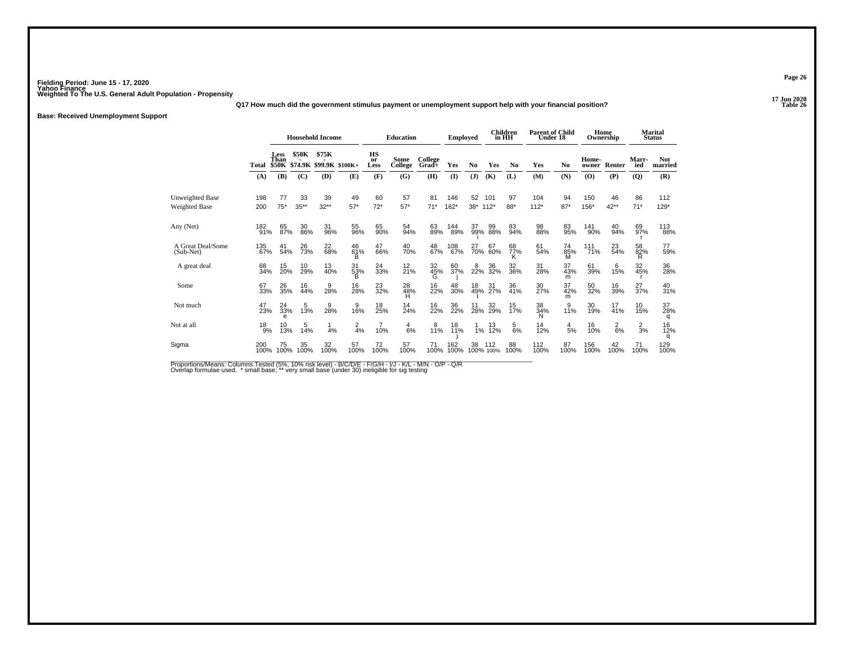**17 Jun 2020Q17 How much did the government stimulus payment or unemployment support help with your financial position?**

**Base: Received Unemployment Support**

|                                         |               |                     |               | <b>Household Income</b>                |                 | <b>Education</b> |                 |                  | <b>Employed</b> |                | <b>Children</b><br>in HH |                | <b>Parent of Child</b><br>Under 18 |                 | Home<br>Ownership |                 | <b>Marital</b><br><b>Status</b> |                 |
|-----------------------------------------|---------------|---------------------|---------------|----------------------------------------|-----------------|------------------|-----------------|------------------|-----------------|----------------|--------------------------|----------------|------------------------------------|-----------------|-------------------|-----------------|---------------------------------|-----------------|
|                                         | Total         | <b>Less</b><br>Than | <b>\$50K</b>  | \$75K<br>\$50K \$74.9K \$99.9K \$100K+ |                 | HS<br>or<br>Less | Some<br>College | College<br>Grad+ | Yes             | N <sub>0</sub> | Yes                      | N <sub>0</sub> | Yes                                | N <sub>0</sub>  | Home-<br>owner    | Renter          | Marr-<br>ied                    | Not.<br>married |
|                                         | (A)           | (B)                 | (C)           | (D)                                    | (E)             | (F)              | (G)             | (H)              | $($ $\Gamma$    | (J)            | (K)                      | (L)            | (M)                                | (N)             | (0)               | (P)             | (Q)                             | (R)             |
| Unweighted Base<br><b>Weighted Base</b> | 198<br>200    | 77<br>$75*$         | 33<br>$35***$ | 39<br>$32**$                           | 49<br>$57*$     | 60<br>$72*$      | 57<br>$57*$     | 81<br>$71*$      | 146<br>$162*$   | 52<br>$38*$    | 101<br>$112*$            | 97<br>88*      | 104<br>$112*$                      | 94<br>$87*$     | 150<br>156*       | 46<br>$42**$    | 86<br>$71*$                     | 112<br>$129*$   |
| Any (Net)                               | 182<br>91%    | 65<br>87%           | 30<br>86%     | 31<br>96%                              | 55<br>96%       | 65<br>90%        | 54<br>94%       | 63<br>89%        | 144<br>89%      | 37<br>99%      | 99<br>88%                | 83<br>94%      | 98<br>88%                          | 83<br>95%       | 141<br>90%        | 40<br>94%       | 69<br>97%                       | 113<br>88%      |
| A Great Deal/Some<br>$(Sub-Net)$        | 135<br>67%    | 41<br>54%           | 26<br>73%     | 22<br>68%                              | 46<br>81%<br>R  | 47<br>66%        | 40<br>70%       | 48<br>67%        | 108<br>67%      | 27<br>70%      | 67<br>60%                | 68<br>77%<br>κ | 61<br>54%                          | 74<br>85%<br>М  | $^{111}_{71\%}$   | 23<br>54%       | 58<br>82%                       | 77<br>59%       |
| A great deal                            | 68<br>34%     | 15<br>20%           | 10<br>29%     | 13<br>40%                              | 31<br>53%       | 24<br>33%        | $^{12}_{21\%}$  | 32<br>45%        | 60<br>37%       | $^{8}_{22\%}$  | 36<br>32%                | 32<br>36%      | 31<br>28%                          | 37<br>43%<br>m  | 61<br>39%         | 6<br>15%        | 32<br>45%                       | 36<br>28%       |
| Some                                    | 67<br>33%     | 26<br>35%           | 16<br>44%     | 9<br>28%                               | 16<br>28%       | 23<br>32%        | 28<br>48%       | 16<br>22%        | 48<br>30%       |                | 18 31<br>49% 27%         | 36<br>41%      | 30<br>27%                          | 37<br>42%<br>m  | 50<br>32%         | 16<br>39%       | 27<br>37%                       | 40<br>31%       |
| Not much                                | 47<br>23%     | 33%<br>e            | 13%           | 9<br>28%                               | 9<br>16%        | 18<br>25%        | 14<br>24%       | 16<br>22%        | 36<br>22%       | 11<br>28%      | 32<br>29%                | 15<br>17%      | 38<br>34%<br>N                     | 9<br>11%        | 30<br>19%         | 17<br>41%       | 10<br>15%                       | 37<br>28%<br>q  |
| Not at all                              | $^{18}_{9\%}$ | 10<br>13%           | 14%           | 4%                                     | $\frac{2}{4}$ % | 10%              | $\frac{4}{6%}$  | $18^{8}$         | 18<br>11%       | 1%             | 13/12%                   | $\frac{5}{6%}$ | 14<br>12%                          | $\frac{4}{5}$ % | 16<br>10%         | $\frac{2}{6}$ % | $\frac{2}{3}$ %                 | 16<br>12%<br>q  |
| Sigma                                   | 200<br>100%   | 75<br>100%          | 35<br>100%    | 32<br>100%                             | 57<br>100%      | 72<br>100%       | 57<br>100%      | 71<br>100%       | 162<br>100%     | 38             | 112<br>100% 100%         | 88<br>100%     | 112<br>100%                        | 87<br>100%      | 156<br>100%       | 42<br>100%      | 71<br>100%                      | 129<br>100%     |

Proportions/Means: Columns Tested (5%, 10% risk level) - B/C/D/E - F/G/H - I/J - K/L - M/N - O/P - Q/R<br>Overlap formulae used. \*small base; \* very small base (under 30) ineligible for sig testing

**Page 26**

**P Table 26**